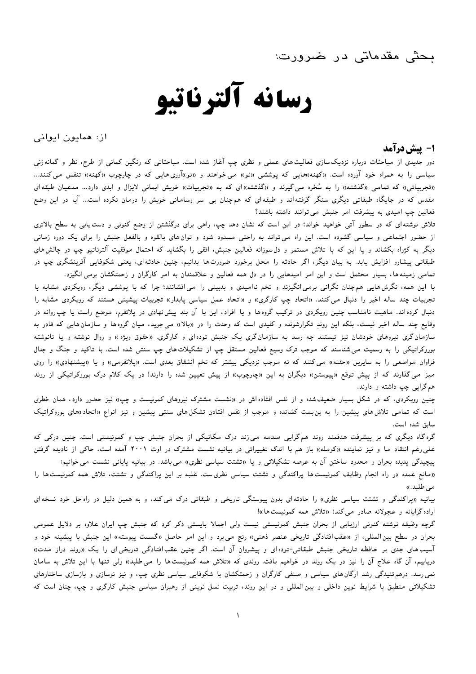ىحثى مقدماتى در ضرورت:

# رسانه آلترناتيو

از: همایون ایوانی

1- ييش درآمد

دور جدیدی از مباحثات درباره نزدیک<code>سازی فعالیت</code>های عملی و نظری چپ آغاز شده است. مباحثاتی که رنگین کمانی از طرح، نظر و گمانه<code>زنی</code> سیاسی را به همراه خود آورده است. «کهنه»هایی که پوششی «نو» می خواهند و «نو»آوری هایی که در چارچوب «کهنه» تنفس می کنند... «تجربیاتی» که تمامی «گذشته» را به سُخره میگیرند و «گذشته»ای که به «تجربیات» خویش ایمانی لایزال و ابدی دارد… مدعیان طبقهای مقدس که در جایگاه طبقاتی دیگری سنگر گرفتهاند و طبقهای که همچنان بی سر وسامانی خویش را درمان نکرده است… آیا در این وضع فعالین چپ امیدی به پیشرفت امر جنبش می توانند داشته باشند؟

تلاش نوشته ای که در سطور آتی خواهید خواند؛ در این است که نشان دهد چپ، راهی برای درگنشتن از وضع کنونی و دست یابی به سطح بالاتری از حضور اجتماعی و سیاسی گشوده است. این راه میتواند به راحتی مسدود شود و توان های بالقوه و بالفعل جنبش را برای یک دوره زمانی دیگر به کژراه بکشاند و با این که با تلاش مستمر و دل سوزانه فعالین جنبش، افقی را بگشاید که احتمال موفقیت آلترناتیو چپ در چالش های طبقاتی پیشارو افزایش پابد. به بیان دیگر، اگر حادثه را محل برخورد ضرورت۱ها بدانیم، چنین حادثه۱ی، یعنی شکوفایی آفرینشگری چپ در تمامی زمینه ها، بسیار محتمل است و این امر امیدهایی را در دل همه فعالین و علاقمندان به امر کارگران و زحمتکشان برمی انگیزد.

با این همه، نگرش هایی هم چنان نگرانی برمی انگیزند و تخم ناامیدی و بدبینی را می افشانند؛ چرا که با پوششی دیگر، رویکردی مشابه با تجربیات چند ساله اخیر را دنبال می کنند. «اتحاد چپ کارگری» و «اتحاد عمل سیاسی پایدار» تجربیات پیشینی هستند که رویکردی مشابه را دنبال کرده اند. ماهیت نامناسب چنین رویکردی در ترکیب گروهها و یا افراد، این یا آن بند پیش نهادی در پلاتفرم، موضع راست یا چپ روانه در وقایع چند ساله اخیر نیست، بلکه این روند تکرارشونده و کلیدی است که وحدت را در «بالا» می جوید، میان گروهها و سازمان هایی که قادر به سازمانگری نیروهای خودشان نیز نیستند چه رسد به سازمانگری یک جنبش توده ای و کارگری. «حقوق ویژه » و روال نوشته و یا نانوشته بوروکراتیکی را به رسمیت می شناسند که موجب ترک وسیع فعالین مستقل چپ از تشکیلات های چپ سنتی شده است. با تاکید و جنگ و جدال فراوان مواضعی را به سایرین «حقنه» می کنند که نه موجب نزدیکی بیشتر که تخم انشقاق بعدی است. «پلاتفرمی» و یا «پیشنهادی» را روی میز می گذارند که از پیش توقع «پیوستن» دیگران به این «چارچوب» از پیش تعیین شده را دارند! در یک کلام درک بوروکراتیکی از روند هم گرايي چپ داشته و دارند.

چنین رویکردی، که در شکل بسیار ضعیف شده و از نفس افتاده اش در «نشست مشترک نیروهای کمونیست و چپ» نیز حضور دارد، همان خطری است که تمامی تلاش های پیشین را به بن بست کشانده و موجب از نفس افتادن تشکل های سنتی پیشین و نیز انواع «اتحاد»های بوروکراتیک سابق شده است.

گره گاه دیگری که بر پیشرفت هدفمند روند هم گرایی صدمه می زند درک مکانیکی از بحران جنبش چپ و کمونیستی است. چنین درکی که علی رغم انتقاد ما و نیز نماینده «کومله» باز هم با اندک تغییراتی در بیانیه نشست مشترک در اوت ۲۰۰۱ آمده است، حاکی از نادیده گرفتن پیچیدگی پدیده بحران و محدود ساختن آن به عرصه تشکیلاتی و یا «تشتت سیاسی نظری» میباشد. در بیانیه پایانی نشست می خوانیم: «مانع عمده در راه انجام وظایف کمونیستها پراکندگی و تشتت سیاسی نظریست. غلبه بر این پراکندگی و تشتت، تلاش همه کمونیستها را

می طلبد.))

بیانیه «پراکندگی و تشتت سیاسی نظری» را حادثه ای بدون پیوستگی تاریخی و طبقاتی درک می کند، و به همین دلیل در راه حل خود نسخه ای اراده گرایانه و عجولانه صادر می کند؛ «تلاش همه کمونیست ها»!

گرچه وظیفه نوشته کنونی ارزیابی از بحران جنبش کمونیستی نیست ولی اجمالا بایستی ذکر کرد که جنبش چپ ایران علاوه بر دلایل عمومی بحران در سطح بین|لمللی، از «عقب|فتادگی تاریخی عنصر ذهنی» رنج می برد و این امر حاصل «گسست پیوسته» این جنبش با پیشینه خود و آسیب های جدی بر حافظه تاریخی جنبش طبقاتی-توده ای و پیشروان آن است. اگر چنین عقب افتادگی تاریخی ای را یک «روند دراز مدت» دریابیم، آن گاه علاج آن را نیز در یک روند در خواهیم یافت. روندی که «تلاش همه کمونیست۵ا را می طلبد» ولی تنها با این تلاش به سامان نمی رسد. درهم تنیدگی رشد ارگان های سیاسی و صنفی کارگران و زحمتکشان با شکوفایی سیاسی نظری چپ، و نیز نوسازی و بازسازی ساختارهای تشکیلاتی منطبق با شرایط نوین داخلی و بین المللی و در این روند، تربیت نسل نوینی از رهبران سیاسی جنبش کارگری و چپ، چنان است که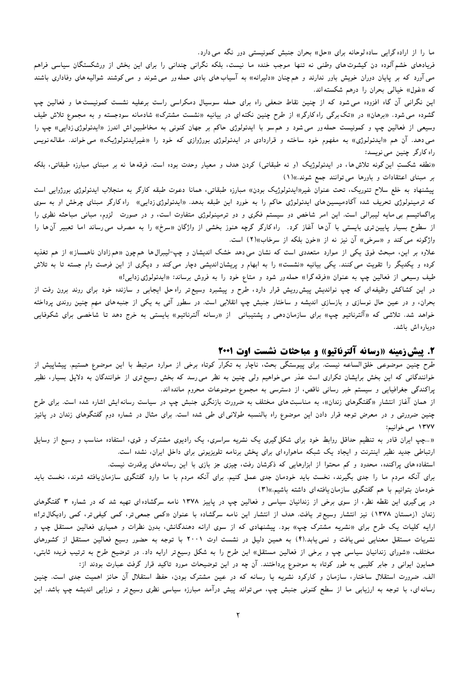ما را از اراده گرایی ساده لوحانه برای «حل» بحران جنبش کمونیستی دور نگه می دارد.

فریادهای خشم آلوده دن کیشوتهای وطنی نه تنها موجب خنده ما نیست، بلکه نگرانی چندانی را برای این بخش از ورشکستگان سیاسی فراهم می آورد که بر پایان دوران خویش باور ندارند و همچنان «دلیرانه» به آسیابهای بادی حملهور میشوند و می کوشند شوالیههای وفاداری باشند که «غول» خیالی بحران را درهم شکستهاند.

این نگرانی آن گاه افزوده می شود که از چنین نقاط ضعفی راه برای حمله سوسیال دمکراسی راست برعلیه نشست کمونیست ها و فعالین چپ گشوده می شود. «برهان» در «تک برگی راه کارگر» از طرح چنین نکته ای در بیانیه «نشست مشترک» شادمانه سودجسته و به مجموع تلاش طیف وسیعی از فعالین چپ و کمونیست حملهور می شود و هم سو با ایدئولوژی حاکم بر جهان کنونی به مخاطبین۱ش اندرز «ایدئولوژی(دایی» چپ را می دهد. آن هم «ایدئولوژی» به مفهوم خود ساخته و قراردادی در ایدئولوژی بورژوازی که خود را «غیرایدئولوژیک» می خواند. مقالهنویس راه کارگر چنین می نویسد:

«نطفه شکست این گونه تلاش۵ا، در ایدئولوژیک (و نه طبقاتی) کردن هدف و معیار وحدت بوده است. فرقه۱ا نه بر مبنای مبارزه طبقاتی، بلکه بر مبنای اعتقادات و باورها می توانند جمع شوند.»(۱)

پیشنهاد به خلع سلاح تئوریک، تحت عنوان غیر«ایدئولوژیک بودن» مبارزه طبقاتی، همانا دعوت طبقه کارگر به منجلاب ایدئولوژی بورژوایی است که ترمینولوژی تحریف شده آکادمیسینهای ایدئولوژی حاکم را به خورد این طبقه بدهد. «ایدئولوژی(دایی» راه کارگر مبنای چرخش او به سوی پراگماتیسم بی مایه لیبرالی است. این امر شاخص دو سیستم فکری و دو ترمینولوژی متفاوت است، و در صورت گزوم، مبانی مباحثه نظری را از سطوح بسیار پایین تری بایستی با آن۱ه آغاز کرد. راه کارگر گرچه هنوز بخشی از واژگان «سرخ» را به مصرف می رساند اما تعبیر آن۱ها را واژگونه می کند و «سرخی» آن نیز نه از «خون بلکه از سرخاب»(۲) است.

علاوه بر این، مبحث فوق یکی از موارد متعددی است که نشان می0دهد خشک اندیشان و چپ-لیبرال۵ها همچون «همزادان ناهمساز» از هم تغذیه کرده و یکدیگر را تقویت می کنند. یکی بیانیه «نشست» را به ابهام و پریشاناندیشی دچار می کند و دیگری از این فرصت وام جسته تا به تلاش طیف وسیعی از فعالین چپ به عنوان «فرقه گرا» حمله ور شود و متاع خود را به فروش برساند: «ایدئولوژی زدایی!»

در این کشاکش وظیفه ای که چپ نواندیش پیش٫ویش قرار دارد، طرح و پیشبرد وسیع تر راه حل ایجابی و سازنده خود برای روند برون رفت از بحران، و در عین حال نوسازی و بازسازی اندیشه و ساختار جنبش چپ انقلابی است. در سطور آتی به یکی از جنبههای مهم چنین روندی پرداخته خواهد شد. تلاشی که «آلترناتیو چپ» برای سازماندهی و پشتیبانی از «رسانه آلترناتیو» بایستی به خرج دهد تا شاخصی برای شکوفایی دوباره اش باشد.

# **۲. پیش زمینه «رسانه آلترناتیو» و مباحثات نشست اوت ۲۰۰۱**

طرح چنین موضوعی خلقالساعه نیست. برای پیوستگی بحث، ناچار به تکرار کوتاه برخی از موارد مرتبط با این موضوع هستیم. پیشاپیش از خوانندگانی که این بخش برایشان تکراری است عذر می خواهیم ولی چنین به نظر می٫رسد که بخش وسیع تری از خوانندگان به دلایل بسیار، نظیر پراکندگی جغرافیایی و سیستم خبر رسانی ناقص، از دسترسی به مجموع موضوعات محروم مانده اند.

از همان آغاز انتشارِ «گفتگوهای زندان»، به مناسبت۵های مختلف به ضرورت بازنگری جنبش چپ در سیاست رسانه<code>ایش اشاره شده است. برای طرح</code> چنین ضرورتی و در معرض توجه قرار دادن این موضوع راه بالنسبه طولانی ای طی شده است. برای مثال در شماره دوم گفتگوهای زندان در پائیز ۱۳۷۷ می خوانیم:

«...چپ ایران قادر به تنظیم حداقل روابط خود برای شکل گیری یک نشریه سراسری، یک رادیوی مشترک و قوی، استفاده مناسب و وسیع از وسایل ارتباطی جدید نظیر اینترنت و ایجاد یک شبکه ماهواره ای برای یخش برنامه تلویزیونی برای داخل ایران، نشده است.

استفاده های پراکنده، محدود و کم محتوا از ابزارهایی که ذکرشان رفت، چیزی جز بازی با این رسانه های پرقدرت نیست.

برای آنکه مردم ما را جدی بگیرند، نخست باید خودمان جدی عمل کنیم. برای آنکه مردم با ما وارد گفتگوی سازمان یافته شوند، نخست باید خودمان بتوانيم با هم گفتگوى سازمان يافته اى داشته باشيم.»(٣)

در پی گیری این نقطه نظر، از سوی برخی از زندانیان سیاسی و فعالین چپ در پاییز ۱۳۷۸ نامه سرگشاده ای تهیه شد که در شماره ۳ گفتگوهای زندان (زمستان ۱۳۷۸) نیز انتشار وسیع تر یافت. هدف از انتشار این نامه سرگشاده با عنوان «کمی جمعی تر، کمی تر، کمی رادیکال تر!» ارایه کلیات یک طرح برای «نشریه مشترک چپ» بود. پیشنهادی که از سوی ارائه دهندگانش، بدون نظرات و همیاری فعالین مستقل چپ و نشریات مستقل معنایی نمی یافت و نمی یابد.(۴) به همین دلیل در نشست اوت ۲۰۰۱ با توجه به حضور وسیع فعالین مستقل از کشورهای مختلف، «شورای زندانیان سیاسی چپ و برخی از فعالین مستقل» این طرح را به شکل وسیع تر ارایه داد. در توضیح طرح به ترتیب فریده ثابتی، همایون ایوانی و جابر کلیبی به طور کوتاه به موضوع پرداختند. آن چه در این توضیحات مورد تاکید قرار گرفت عبارت بودند از:

الف. ضرورت استقلال ساختار، سازمان و کارکرد نشریه یا رسانه که در عین مشترک بودن، حفظ استقلال آن حائز اهمیت جدی است. چنین رسانه ای، با توجه به ارزیابی ما از سطح کنونی جنبش چپ، میتواند پیش درآمد مبارزه سیاسی نظری وسیع تر و نوزایی اندیشه چپ باشد. این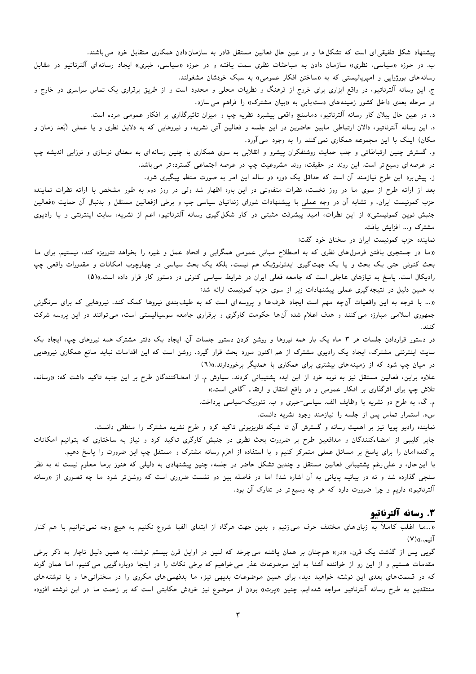پیشنهاد شکل تلفیقی ای است که تشکل ها و در عین حال فعالین مستقل قادر به سازمان دادن همکاری متقابل خود می باشند.

ب. در حوزه «سیاسی، نظری» سازمان دادن به مباحثات نظری سمت یافته و در حوزه «سیاسی، خبری» ایجاد رسانهای آلترناتیو در مقابل رسانه های بورژوایی و امیریالیستی که به «ساختن افکار عمومی» به سبک خودشان مشغولند.

ج. این رسانه آلترناتیو، در واقع ابزاری برای خروج از فرهنگ و نظریات محلی و محدود است و از طریق برقراری یک تماس سراسری در خارج و در مرحله بعدی داخل کشور زمینههای دست یابی به «بیان مشترک» را فراهم می سازد.

د. در عین حال بیلان کار رسانه آلترناتیو، دماسنج واقعی پیشبرد نظریه چپ و میزان تاثیرگذاری بر افکار عمومی مردم است.

ه. این رسانه آلترناتیو، دالان ارتباطی مابین حاضرین در این جلسه و فعالین آتی نشریه، و نیروهایی که به دلایل نظری و یا عملی (بُعد زمان و مکان) اینک با این مجموعه همکاری نمی کنند را به وجود می آورد.

و. گسترش چنین ارتباطاتی و جلب حمایت روشنفکران پیشرو و انقلابی به سوی همکاری با چنین رسانه ای به معنای نوسازی و نوزایی اندیشه چپ در عرصه ای وسیع تر است. این روند در حقیقت، روند مشروعیت چپ در عرصه اجتماعی گسترده تر می باشد.

ز. پیش برد این طرح نیازمند آن است که حداقل یک دوره دو ساله این امر به صورت منظم پیگیری شود.

بعد از ارائه طرح از سوی ما در روز نخست، نظرات متفاوتی در این باره اظهار شد ولی در روز دوم به طور مشخص با ارائه نظرات نماینده حزب کمونیست ایران، و تشابه آن در وجه عملی با پیشنهادات شورای زندانیان سیاسی چپ و برخی ازفعالین مستقل و بدنبال آن حمایت «فعالین جنبش نوین کمونیستی» از این نظرات، امید پیشرفت مثبتی در کار شکل گیری رسانه آلترناتیو، اعم از نشریه، سایت اینترنتی و یا رادیوی مشترک و... افزایش پافت.

نماینده حزب کمونیست ایران در سخنان خود گفت:

«ما در جستجوی یافتن فرمول های نظری که به اصطلاح مبانی عمومی همگرایی و اتحاد عمل و غیره را بخواهد تئوریزه کند، نیستیم. برای ما بحث کنونی حتی یک بحث و یا یک جهت گیری ایدئولوژیک هم نیست، بلکه یک بحث سیاسی در چهارچوب امکانات و مقدورات واقعی چپ رادیکال است. یاسخ به نیازهای عاجلی است که جامعه فعلی ایران در شرایط سیاسی کنونی در دستور کار قرار داده است.»(۵) به همین دلیل در نتیجه گیری عملی پیشنهادات زیر از سوی حزب کمونیست ارائه شد:

«… با توجه به این واقعیات آنچه مهم است ایجاد ظرف ها و پروسهای است که به طیف بندی نیروها کمک کند. نیروهایی که برای سرنگونی جمهوری اسلامی مبارزه می کنند و هدف اعلام شده آنها حکومت کارگری و برقراری جامعه سوسیالیستی است، می توانند در این پروسه شرکت كنند.

در دستور قراردادن جلسات هر ۳ ماه یک بار همه نیروها و روشن کردن دستور جلسات آن. ایجاد یک دفتر مشترک همه نیروهای چپ، ایجاد یک سایت اینترنتی مشترک، ایجاد یک رادیوی مشترک از هم اکنون مورد بحث قرار گیرد. روشن است که این اقدامات نباید مانع همکاری نیروهایی در میان چپ شود که از زمینههای بیشتری برای همکاری با همدیگر برخوردارند.»(٦)

علاوه براین، فعالین مستقل نیز به نوبه خود از این ایده پشتیبانی کردند. سیاوش م. از امضاکنندگان طرح بر این جنبه تاکید داشت که: «رسانه، تلاش چپ برای اثرگذاری بر افکار عمومی و در واقع انتقال و ارتقاء آگاهی است.»

م. گ، به طرح دو نشریه با وظایف الف. سیاسی-خبری و ب. تئوریک-سیاسی پرداخت.

سه. استمرار تماس پس از جلسه را نیازمند وجود نشریه دانست.

نماینده رادیو پویا نیز بر اهمیت رسانه و گسترش آن تا شبکه تلویزیونی تاکید کرد و طرح نشریه مشترک را منطقی دانست. جابر کلیبی از امضاءکنندگان و مدافعین طرح بر ضرورت بحث نظری در جنبش کارگری تاکید کرد و نیاز به ساختاری که بتوانیم امکانات

یراکنده امان را برای پاسخ بر مسائل عملی متمرکز کنیم و با استفاده از اهرم رسانه مشترک و مستقل چپ این ضرورت را پاسخ دهیم. با این حال، و علی رغم پشتیبانی فعالین مستقل و چندین تشکل حاضر در جلسه، چنین پیشنهادی به دلیلی که هنوز برما معلوم نیست نه به نظر سنجی گذارده شد و نه در بیانیه پایانی به آن اشاره شد! اما در فاصله بین دو نشست ضروری است که روشنتر شود ما چه تصوری از «رسانه آلترناتیو» داریم و چرا ضرورت دارد که هر چه وسیع تر در تدارک آن بود.

# 3. رسانه آلترناتيو

«…ما اغلب کاملاً به زبان های مختلف حرف می زنیم و بدین جهت هرگاه از ابتدای الفبا شروع نکنیم به هیچ وجه نمیتوانیم با هم کنار آئىم..))(V)

گویی پس از گذشت یک قرن، «در» همچنان بر همان پاشنه می چرخد که لنین در اوایل قرن بیستم نوشت. به همین دلیل ناچار به ذکر برخی مقدمات هستیم و از این رو از خواننده آشنا به این موضوعات عذر می خواهیم که برخی نکات را در اینجا دوباره گویی می کنیم، اما همان گونه که در قسمتهای بعدی این نوشته خواهید دید، برای همین موضوعات بدیهی نیز، ما بدفهمیهای مکرری را در سخنرانیها و یا نوشتههای منتقدین به طرح رسانه آلترناتیو مواجه شدهایم. چنین «پرت» بودن از موضوع نیز خودش حکایتی است که بر زحمت ما در این نوشته افزوده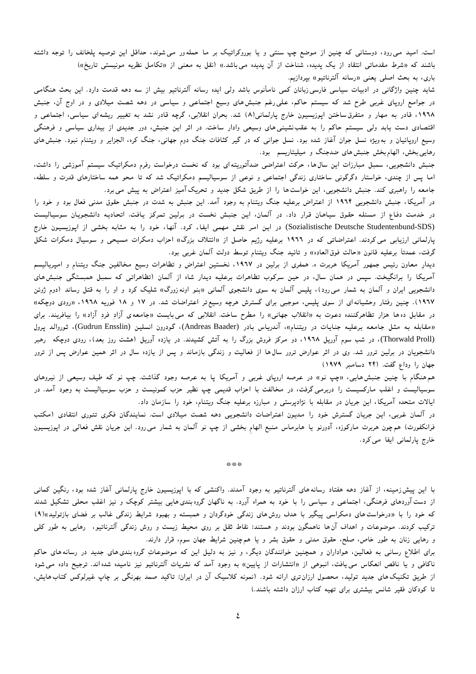است. امید می رود، دوستانی که چنین از موضع چپ سنتی و یا بوروکراتیک بر ما حملهور می شوند، حداقل این توصیه پلخانف را توجه داشته باشند که «شرط مقدماتی انتقاد از یک پدیده، شناخت از آن پدیده میباشد.» (نقل به معنی از «تکامل نظریه مونیستی تاریخ») باری، به بحث اصلی یعنی «رسانه آلترناتیو» بیردازیم.

شاید چنین واژگانی در ادبیات سیاسی فارسی زبانان کمی نامأنوس باشد ولی ایده رسانه آلترناتیو بیش از سه دهه قدمت دارد. این بحث هنگامی در جوامع اروپای غربی طرح شد که سیستم حاکم، علی رغم جنبش های وسیع اجتماعی و سیاسی در دهه شصت میلادی و در اوج آن، جنبش ۱۹۶۸، قادر به مهار و متفرق ساختن اپوزیسیون خارج پارلمانی(۸) شد. بحران انقلابی، گرچه قادر نشد به تغییر ریشهای سیاسی، اجتماعی و اقتصادی دست یابد ولی سیستم حاکم را به عقب نشینی های وسیعی وادار ساخت. در اثر این جنبش، دور جدیدی از بیداری سیاسی و فرهنگی وسیع اروپائیان و بهویژه نسل جوان آغاز شده بود. نسل جوانی که در گیر کثافات جنگ دوم جهانی، جنگ کره، الجزایر و ویتنام نبود. جنبش های رهایی بخش، الهام بخش جنبش های ضدجنگ و میلیتاریسم بود.

جنبش دانشجویی، سمبل مبارزات این سال ها، حرکت اعتراضی ضدآتوریته ای بود که نخست درخواست رفرم دمکراتیک سیستم آموزشی را داشت، اما پس از چندی، خواستار دگرگونی ساختاری زندگی اجتماعی و نوعی از سوسیالیسم دمکراتیک شد که تا محو همه ساختارهای قدرت و سلطه، جامعه را راهبری کند. جنبش دانشجویی، این خواست ها را از طریق شکل جدید و تحریک آمیز اعتراض به پیش می برد.

در آمریکا، جنبش دانشجویی ۱۹۹۴ از اعتراض برعلیه جنگ ویتنام به وجود آمد. این جنبش به شدت در جنبش حقوق مدنی فعال بود و خود را در خدمت دفاع از مسئله حقوق سیاهان قرار داد. در آلمان، این جنبش نخست در برلین تمرکز یافت. اتحادیه دانشجویان سوسیالیست (Sozialistische Deutsche Studentenbund-SDS) در این امر نقش مهمی ایفاء کرد. آنها، خود را به مثابه بخشی از اپوزیسیون خارج پارلمانی ارزیابی می کردند. اعتراضاتی که در ۱۹۶۲ برعلیه رژیم حاصل از «ائتلاف بزرگ» احزاب دمکرات مسیحی و سوسیال دمکرات شکل گرفت، عمدتاً برعلیه قانون «حالت فوق|لعاده» و تائید جنگ ویتنام توسط دولت آلمان غربی بود.

دیدارِ معاون رئیس جمهور آمریکا هربرت ه. همفری از برلین در ۱۹۹۷، نخستین اعتراض و تظاهرات وسیع مخالفین جنگ ویتنام و امپریالیسم آمریکا را برانگیخت. سپس در همان سال، در حین سرکوب تظاهرات برعلیه دیدار شاه از آلمان (تظاهراتی که سمبل همبستگی جنبش های دانشجویی ایران و آلمان به شمار می رود)، پلیس آلمان به سوی دانشجوی آلمانی «بنو اونه(ورگ» شلیک کرد و او را به قتل رساند (دوم ژوئن ۱۹۶۷). چنین رفتار وحشیانهای از سوی پلیس، موجبی برای گسترش هرچه وسیع تر اعتراضات شد. در ۱۷ و ۱۸ فوریه ۱۹۲۸، «رودی دوچکه» در مقابل ده ها هزار تظاهرکننده دعوت به «انقلاب جهانی» را مطرح ساخت. انقلابی که میبایست «جامعهی آزادِ فردِ آزاد» را بیافریند. برای «مقابله به مثل جامعه برعليه جنايات در ويتنام»، آندرياس بادر (Andreas Baader)، گودرون انسلين (Gudrun Ensslin)، ثوروالد پرول (Thorwald Proll)، در شب سوم آوریل ۱۹۲۸، دو مرکز فروش بزرگ را به آتش کشیدند. در یازده آوریل (هشت روز بعد)، رودی دوچکه رهبر دانشجویان در برلین ترور شد. وی در اثر عوارض ترور سال**ها از فعالیت و زندگی بازماند و پس از** یازده سال در اثر همین عوارض پس از ترور جهان را وداع گفت. (۲۴ دسامبر ۱۹۷۹)

هم هنگام با چنین جنبش،ایی، «چپ نو» در عرصه اروپای غربی و آمریکا پا به عرصه وجود گذاشت. چپ نو که طیف وسیعی از نیروهای سوسیالیست و اغلب مارکسیست را دربرمی گرفت، در مخالفت با احزاب قدیمی چپ نظیر حزب کمونیست و حزب سوسیالیست به وجود آمد. در ایالات متحده آمریکا، این جریان در مقابله با نژادپرستی و مبارزه برعلیه جنگ ویتنام، خود را سازمان داد.

در آلمان غربی، این جریان گسترش خود را مدیون اعتراضات دانشجویی دهه شصت میلادی است. نمایندگان فکری تئوری انتقادی (مکتب فرانکفورت) همچون هربرت مارکوزه، آدورنو یا هابرماس منبع الهام بخشی از چپ نو آلمان به شمار می٫ود. این جریان نقش فعالی در اپوزیسیون خارج پارلمانی ایفا می کرد.

\*\*\*

با این پیش(مینه، از آغاز دهه هفتاد رسانههای آلترناتیو به وجود آمدند. واکنشی که با اپوزیسیون خارج پارلمانی آغاز شده بود، رنگین کمانی از دست آوردهای فرهنگی، اجتماعی و سیاسی را با خود به همراه آورد. به ناگهان گروه بندی۵هایی بیشتر کوچک و نیز اغلب محلی تشکیل شدند که خود را با «درخواست های دمکراسی پیگیر با هدف روش های زندگی خودگردان و همبسته و بهبود شرایط زندگی غالب بر فضای بازتولید»(۹) ترکیب کردند. موضوعات و اهداف آن۵ا ناهمگون بودند و هستند: نقاط ثقل بر روی محیط زیست و روش زندگی آلترناتیو، رهایی به طور کلی و رهایی زنان به طور خاص، صلح، حقوق مدنی و حقوق بشر و یا هم چنین شرایط جهان سوم، قرار دارند.

برای اطلاع رسانی به فعالین، هواداران و همچنین خوانندگان دیگر، و نیز به دلیل این که موضوعات گروه بندی های جدید در رسانه های حاکم ناکافی و یا ناقص انعکاس می یافت، انبوهی از «انتشارات از پایین» به وجود آمد که نشریات آلترناتیو نیز نامیده شده اند. ترجیح داده می شود از طریق تکنیک های جدید تولید، محصول ارزان تری ارائه شود. (نمونه کلاسیک آن در ایران: تاکید صمد بهرنگی بر چاپ غیرلوکس کتاب هایش، تا کودکان فقیر شانس بیشتری برای تهیه کتاب ارزان داشته باشند.)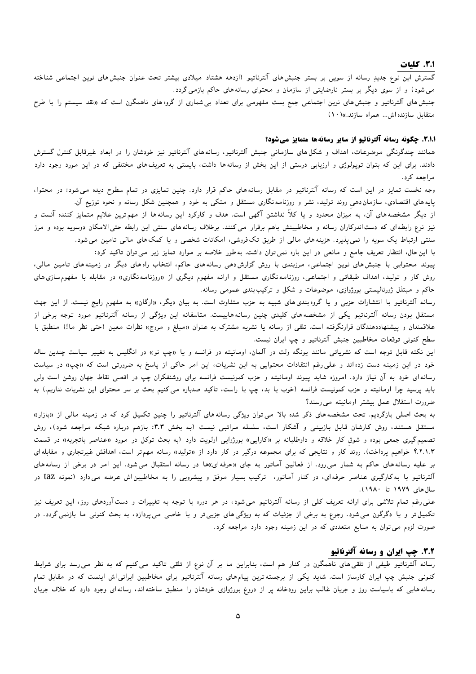## 3.1. كليات

گسترش این نوع جدید رسانه از سویی بر بستر جنبش های آلترناتیو (ازدهه هشتاد میلادی بیشتر تحت عنوان جنبش های نوین اجتماعی شناخته می شود) و از سوی دیگر بر بستر نارضایتی از سازمان و محتوای رسانه های حاکم بازمی گردد. جنبش های آلترناتیو و جنبش های نوین اجتماعی جمع بست مفهومی برای تعداد بی شماری از گروه های ناهمگون است که «نقد سيستم را با طرح متقابل سازنده اش... همراه سازند.»(١٠)

## 3.1.1. چگونه رسانه آلترناتیو از سایر رسانهها متمایز میشود؟

همانند چندگونگی موضوعات، اهداف و شکل۵های سازمانی جنبش آلترناتیو، رسانههای آلترناتیو نیز خودشان را در ابعاد غیرقابل کنترل گسترش دادند. برای این که بتوان توپولوژی و ارزیابی درستی از این بخش از رسانهها داشت، بایستی به تعریفهای مختلفی که در این مورد وجود دارد مراجعه کرد.

وجه نخست تمایز در این است که رسانه آلترناتیو در مقابل رسانههای حاکم قرار دارد. چنین تمایزی در تمام سطوح دیده می شود: در محتوا، پایه های اقتصادی، سازمان دهی روند تولید، نشر و روزنامه نگاری مستقل و متکی به خود و همچنین شکل رسانه و نحوه توزیع آن.

از دیگر مشخصه های آن، به میزان محدود و یا کلاً نداشتن آگهی است. هدف و کارکرد این رسانه ها از مهم ترین علایم متمایز کننده آنست و نیز نوع رابطه ای که دست اندرکاران رسانه و مخاطبینش باهم برقرار می کنند. برخلاف رسانههای سنتی این رابطه حتی|لامکان دوسویه بوده و مرز سنتی ارتباط یک سویه را نمی پذیرد. هزینههای مالی از طریق تک فروشی، امکانات شخصی و یا کمک های مالی تامین می شود.

با این حال، انتظار تعریف جامع و مانعی در این باره نمی توان داشت. به طور خلاصه بر موارد تمایز زیر می توان تاکید کرد:

پیوند محتوایی با جنبش های نوین اجتماعی، مرزبندی با روش گزارش دهی رسانه های حاکم، انتخاب راه های دیگر در زمینه های تامین مالی، روش کار و تولید، اهداف طبقات<sub>ی</sub> و اجتماعی، روزنامه نگاری مستقل و ارائه مفهوم دیگری از «روزنامه نگاری» در مقابله با مفهوم سازی های حاکم و مبتذل ژورنالیستی بورژوازی، موضوعات و شکل و ترکیب بندی عمومی رسانه.

رسانه آلترناتیو با انتشارات حزبی و یا گروه بندی های شبیه به حزب متفاوت است. به بیان دیگر، «ارگان» به مفهوم رایج نیست. از این جهت مستقل بودن رسانه آلترناتیو یکی از مشخصههای کلیدی چنین رسانههاییست. متاسفانه این ویژگی از رسانه آلترناتیو مورد توجه برخی از علاقمندان و پیشنهاددهندگان قرارنگرفته است. تلقی از رسانه یا نشریه مشترک به عنوان «مبلغ و مروج» نظرات معین (حتی نظر ما!) منطبق با سطح کنونی توقعات مخاطبین جنبش آلترناتیو و چپ ایران نیست.

این نکته قابل توجه است که نشریاتی مانند یونگه ولت در آلمان، اومانیته در فرانسه و یا «چپ نو» در انگلیس به تغییر سیاست چندین ساله خود در این زمینه دست زده اند و علی رغم انتقادات محتوایی به این نشریات، این امر حاکی از پاسخ به ضرورتی است که «چپ» در سیاست رسانه ای خود به آن نیاز دارد. امروزه شاید پیوند اومانیته و حزب کمونیست فرانسه برای روشنفکران چپ در اقصی نقاط جهان روشن است ولی باید پرسید چرا اومانیته و حزب کمونیست فرانسه (خوب یا بد، چپ یا راست، تاکید صدباره می کنیم بحث بر سر محتوای این نشریات نداریم.) به ضرورت استقلال عمل بیشتر اومانیته می رسند؟

به بحث اصلی بازگردیم. تحت مشخصههای ذکر شده بالا می توان ویژگی رسانههای آلترناتیو را چنین تکمیل کرد که در زمینه مالی از «بازار» مستقل هستند، روش کارشان قابل بازبینی و آشکار است، سلسله مراتبی نیست (به بخش ۳.۳: بازهم درباره شبکه مراجعه شود)، روش تصمیم گیری جمعی بوده و شوق کارِ خلاقه و داوطلبانه بر «کارایی» بورژوایی اولویت دارد (به بحث توکل در مورد «عناصر باتجربه» در قسمت ۴.۲.۱.۳ خواهیم پرداخت). روند کار و نتایجی که برای مجموعه درگیر در کار دارد از «تولید» رسانه مهمتر است، اهدافش غیرتجاری و مقابلهای بر علیه رسانههای حاکم به شمار میeرود. از فعالین آماتور به جای «حرفهای»ها در رسانه استقبال میشود. این امر در برخی از رسانههای آلترناتیو با به کارگیری عناصر حرفهای، در کنار آماتور، ترکیب بسیار موفق و پیشرویی را به مخاطبین۱ش عرضه می1ارد (نمونه taz در سال های ۱۹۷۹ تا ۱۹۸۰).

علمی رغم تمام تلاشی برای ارائه تعریف کلی از رسانه آلترناتیو می شود، در هر دوره با توجه به تغییرات و دست آوردهای روز، این تعریف نیز تکمیل تر و یا دگرگون می شود. رجوع به برخی از جزئیات که به ویژگی های جزیی تر و یا خاصی می پردازد، به بحث کنونی ما بازنمی گردد. در صورت لزوم می توان به منابع متعددی که در این زمینه وجود دارد مراجعه کرد.

## 3.۲ چپ ایران و رسانه آلترناتیو

رسانه آلترناتیو طیفی از تلقی های ناهمگون در کنار هم است، بنابراین ما بر آن نوع از تلقی تاکید می کنیم که به نظر می رسد برای شرایط کنونی جنبش چپ ایران کارساز است. شاید یکی از برجستهترین پیامهای رسانه آلترناتیو برای مخاطبین ایرانی اش اینست که در مقابل تمام رسانه هایی که باسیاست روز و جریان غالب براین رودخانه پر از دروغ بورژوازی خودشان را منطبق ساخته اند، رسانه<code>ای وجود دارد که خلاف جریان</code>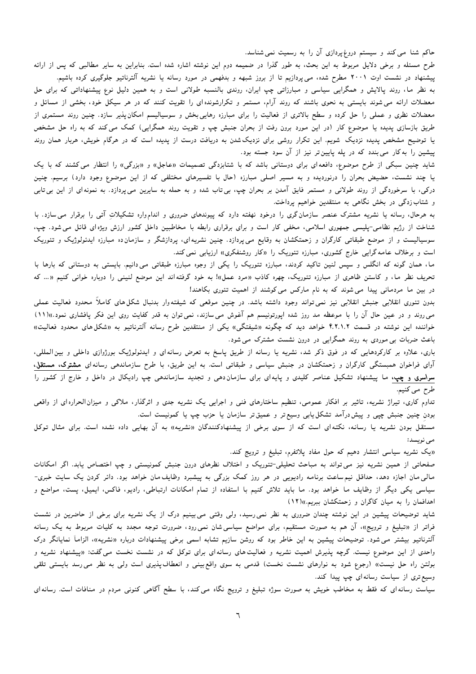حاکم شنا می کند و سیستم دروغ پردازی آن را به رسمیت نمی شناسد.

طرح مسئله و برخی دلایل مربوط به این بحث، به طور گذرا در ضمیمه دوم این نوشته اشاره شده است. بنابراین به سایر مطالبی که پس از ارائه پیشنهاد در نشست اوت ۲۰۰۱ مطرح شده، می $_2$ پردازیم تا از بروز شبهه و بدفهمی در مورد رسانه یا نشریه آلترناتیو جلوگیری کرده باشیم. به نظر ما، روند پالایش و همگرایی سیاسی و مبارزاتی چپ ایران، روندی بالنسبه طولانی است و به همین دلیل نوع پیشنهاداتی که برای حل معضلات ارائه می شوند بایستی به نحوی باشند که روند آرام، مستمر و تکرارشونده ای را تقویت کنند که در هر سیکل خود، بخشی از مسائل و معضلات نظری و عملی را حل کرده و سطح بالاتری از فعالیت را برای مبارزه رهایی بخش و سوسیالیسم امکان پذیر سازد. چنین روند مستمری از طریق بازسازی پدیده یا موضوع کار (در این مورد برون رفت از بحران جنبش چپ و تقویت روند همگرایی) کمک می کند که به راه حل مشخص یا توضیح مشخص پدیده نزدیک شویم. این تکرار روشی برای نزدیکشدن به دریافت درست از پدیده است که در هرگام خویش، هربار همان روند پیشین را به کار می بندد که در پله پایین تر نیز از آن سود جسته بود.

شاید چنین سبکی از طرح موضوع، دافعه ای برای دوستانی باشد که با شتابزدگی تصمیمات «عاجل» و «بزرگی» را انتظار می کشند که با یک یا چند نشست، حضیض بحران را درنوردیده و به مسیر اصلی مبارزه (حال با تفسیرهای مختلفی که از این موضوع وجود دارد) برسیم. چنین درکی، با سرخوردگی از روند طولانی و مستمر فایق آمدن بر بحران چپ، بی¤اب شده و به حمله به سایرین میپردازد. به نمونهای از این بی¤ابی و شتاب زدگی در بخش نگاهی به منتقدین خواهیم پرداخت.

به هرحال، رسانه یا نشریه مشترک عنصر سازمان گری را درخود نهفته دارد که پیوندهای ضروری و اندامواره تشکیلات آتی را برقرار می سازد. با شناخت از رژیم نظامی-پلیسی جمهوری اسلامی، مخفی کار است و برای برقراری رابطه با مخاطبین داخل کشور ارزش ویژه ای قائل میشود. چپ، سوسیالیست و از موضع طبقاتی کارگران و زحمتکشان به وقایع می $\mathcal{L}_i$ رازد. چنین نشریه $\mathcal{L}_j$ ، پردازشگر و سازمان<code>ده مبارزه ایدئولوژیک و تئوریک</mark></code> است و برخلاف عامه گرایی خارج کشوری، مبارزه تئوریک را «کار روشنفکری» ارزیابی نمی کند.

ما، همان گونه که انگلس و سپس لنین تاکید کردند، مبارزه تئوریک را یکی از وجوه مبارزه طبقاتی میدانیم. بایستی به دوستانی که بارها با تحریف نظر ما، و کاستن ظاهری از مبارزه تئوریک، چهره کاذب «مرد عمل»! به خود گرفته اند این موضع لنینی را دوباره خوانی کنیم «… که در بین ما مردمانی پیدا می شوند که به نام مارکس می کوشند از اهمیت تئوری بکاهند!

بدون تئوری انقلابی جنبش انقلابی نیز نمی تواند وجود داشته باشد. در چنین موقعی که شیفته<code>وار بدنبال شکل های کاملاً محدود فعالیت عملی</code> می روند و در عین حال آن را با موعظه مد روز شده اپورتونیسم هم آغوش می سازند، نمی توان به قدر کفایت روی این فکر پافشاری نمود.»(۱۱) خواننده این نوشته در قسمت ۴.۲.۱.۲ خواهد دید که چگونه «شیفتگی» یکی از منتقدین طرح رسانه آلترناتیو به «شکلهای محدود فعالیت» باعث ضربات بی موردی به روند همگرایی در درون نشست مشترک می شود.

باری، علاوه بر کارکردهایی که در فوق ذکر شد، نشریه یا رسانه از طریق پاسخ به تعرض رسانهای و ایدئولوژیک بورژوازی داخلی و بین|لمللی، آوای فراخوان همبستگی کارگران و زحمتکشان در جنبش سیاسی و طبقاتی است. به این طریق، با طرح سازماندهی رسانه ای مشترک، مستقل، **سراسری و چپ،** ما پیشنهاد تشکیل عناصر کلیدی و پایهای برای سازمان۵هی و تجدید سازماندهی چپ رادیکال در داخل و خارج از کشور را طرح مي كنيم.

تداوم کاری، تیراژ نشریه، تاثیر بر افکار عمومی، تنظیم ساختارهای فنی و اجرایی یک نشریه جدی و اثرگذار، ملاکی و میزان|لحراره|ی از واقعی بودن چنین جنبش چیی و پیش،رآمد تشکل پابی وسیع تر و عمیق تر سازمان یا حزب چپ یا کمونیست است.

مستقل بودن نشریه یا رسانه، نکتهای است که از سوی برخی از پیشنهادکنندگان «نشریه» به آن بهایی داده نشده است. برای مثال توکل مى نويسد:

«یک نشریه سیاسی انتشار دهیم که حول مفاد پلاتفرم، تبلیغ و ترویج کند.

صفحاتی از همین نشریه نیز میتواند به مباحث تحلیلی-تئوریک و اختلاف نظرهای درون جنبش کمونیستی و چپ اختصاص یابد. اگر امکانات مالی مان اجازه دهد، حداقل نیمساعت برنامه رادیویی در هر روز کمک بزرگی به پیشبرد وظایف مان خواهد بود. دائر کردن یک سایت خبری-سیاسی یکی دیگر از وظایف ما خواهد بود. ما باید تلاش کنیم با استفاده از تمام امکانات ارتباطی، رادیو، فاکس، ایمیل، پست، مواضع و اهدافمان را به میان کاگران و زحمتکشان ببریم.))(١٢)

شاید توضیحات پیشین در این نوشته چندان ضروری به نظر نمی رسید، ولی وقتی می بینیم درک از یک نشریه برای برخی از حاضرین در نشست فراتر از «تبلیغ و ترویج»، آن هم به صورت مستقیم، برای مواضع سیاسی شان نمی رود، ضرورت توجه مجدد به کلیات مربوط به یک رسانه آلترناتیو بیشتر می شود. توضیحات پیشین به این خاطر بود که روشن سازیم تشابه اسمی برخی پیشنهادات درباره «نشریه»، الزاماً نمایانگر درک واحدی از این موضوع نیست. گرچه پذیرش اهمیت نشریه و فعالیت های رسانه|ی برای توکل که در نشست نخست میگفت: «پیشنهاد نشریه و بولتن راه حل نیست» (رجوع شود به نوارهای نشست نخست) قدمی به سوی واقع بینی و انعطاف پذیری است ولی به نظر می رسد بایستی تلقی وسیع تری از سیاست رسانه ای چپ پیدا کند.

سیاست رسانه ای که فقط به مخاطب خویش به صورت سوژه تبلیغ و ترویج نگاه می کند، با سطح آگاهی کنونی مردم در منافات است. رسانه ای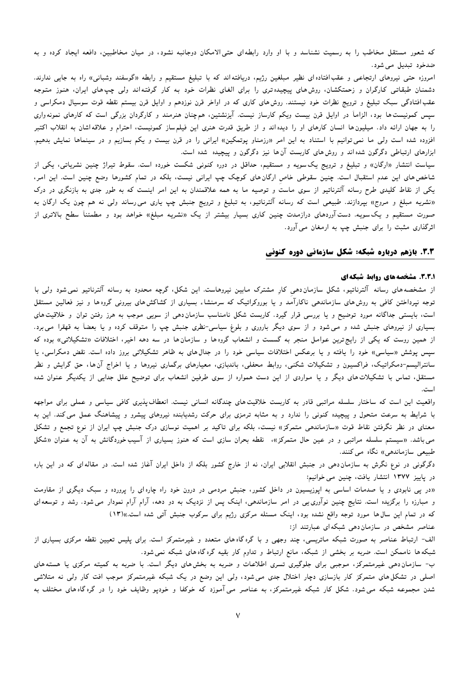که شعور مستقل مخاطب را به رسمیت نشناسد و با او وارد رابطهای حتی الامکان دوجانبه نشود، در میان مخاطبین، دافعه ایجاد کرده و به ضدخود تبدیل می شود.

امروزه حتی نیروهای ارتجاعی و عقب۱فتاده۱ی نظیر مبلغین رژیم، دریافته۱ند که با تبلیغ مستقیم و رابطه «گوسفند وشبانی» راه به جایی ندارند. دشمنان طبقاتی کارگران و زحمتکشان، روش۵ای پیچیده تری را برای الغای نظرات خود به کار گرفته|ند ولی چپ۵ای ایران، هنوز متوجه عقب افتادگی سبک تبلیغ و ترویج نظرات خود نیستند. روش های کاری که در اواخر قرن نوزدهم و اوایل قرن بیستم نقطه قوت سوسیال دمکراسی و سپس کمونیست ها بود، الزاماً در اوایل قرن بیست ویکم کارساز نیست. آیزنشتین، هم چنان هنرمند و کارگردان بزرگی است که کارهای نمونه واری را به جهان ارائه داد. میلیون ها انسان کارهای او را دیده اند و از طریق قدرت هنری این فیلم ساز کمونیست، احترام و علاقه اشان به انقلاب اکتبر افزوده شده است ولی ما نمی توانیم با استناد به این امر «رزمناو پوتمکین» ایرانی را در قرن بیست و یکم بسازیم و در سینماها نمایش بدهیم. ابزارهای ارتباطی دگرگون شده اند و روش های کاربست آن ها نیز دگرگون و پیچیده شده است.

سیاست انتشار «ارگان» و تبلیغ و ترویج یک سویه و مستقیم، حداقل در دوره کنونی شکست خورده است. سقوط تیراژ چنین نشریاتی، یکی از شاخص های این عدم استقبال است. چنین سقوطی خاص ارگان های کوچک چپ ایرانی نیست، بلکه در تمام کشورها وضع چنین است. این امر، یکی از نقاط کلیدی طرح رسانه آلترناتیو از سوی ماست و توصیه ما به همه علاقمندان به این امر اینست که به طور جدی به بازنگری در درک «نشریه مبلغ و مروج» بپردازند. طبیعی است که رسانه آلترناتیو، به تبلیغ و ترویج جنبش چپ یاری می٫رساند ولی نه هم چون یک ارگان به صورت مستقیم و یکسویه. دستآوردهای درازمدت چنین کاری بسیار بیشتر از یک «نشریه مبلغ» خواهد بود و مطمئناً سطح بالاتری از اثرگذاری مثبت را برای جنبش چپ به ارمغان می آورد.

## 3.3. بازهم درباره شبکه: شکل سازمانی دوره کنونی

#### .3.2. مشخصه های روابط شبکه ای

از مشخصه های رسانه آلترناتیو، شکل سازمان دهی کار مشترک مابین نیروهاست. این شکل، گرچه محدود به رسانه آلترناتیو نمی شود ولی با توجه نیرداختن کافی به روش های سازماندهی ناکارآمد و یا بوروکراتیک که سرمنشاء بسیاری از کشاکش های بیرونی گروه ها و نیز فعالین مستقل است، بایستی جداگانه مورد توضیح و یا بررسی قرار گیرد. کاربست شکل نامناسب سازمان دهی از سویی موجب به هرز رفتن توان و خلاقیت های بسیاری از نیروهای جنبش شده و می شود و از سوی دیگر باروری و بلوغ سیاسی-نظری جنبش چپ را متوقف کرده و یا بعضاً به قهقرا می برد. از همین روست که یکی از رایج ترین عوامل منجر به گسست و انشعاب گروه ها و سازمان ها در سه دهه اخیر، اختلافات «تشکیلاتی» بوده که سیس پوشش «سیاسی» خود را پافته و یا برعکس اختلافات سیاسی خود را در جدال۵های به ظاهر تشکیلاتی بروز داده است. نقض دمکراسی، یا سانترالیسم-دمکراتیک، فراکسیون و تشکیلات شکنی، روابط محفلی، باندبازی، معیارهای برگماری نیروها و یا اخراج آن ها، حق گرایش و نظر مستقل، تماس با تشکیلات های دیگر و یا مواردی از این دست همواره از سوی طرفین انشعاب برای توضیح علل جدایی از یکدیگر عنوان شده است.

واقعیت این است که ساختار سلسله مراتبی قادر به کاربست خلاقیت های چندگانه انسانی نیست. انعطاف پذیری کافی سیاسی و عملی برای مواجهه با شرایط به سرعت متحول و پیچیده کنونی را ندارد و به مثابه ترمزی برای حرکت رشدیابنده نیروهای پیشرو و پیشاهنگ عمل می کند. این به معنای در نظر نگرفتن نقاط قوت «سازماندهی متمرکز» نیست، بلکه برای تاکید بر اهمیت نوسازی درک جنبش چپ ایران از نوع تجمع و تشکل می باشد. «سیستم سلسله مراتبی و در عین حال متمرکز»، نقطه بحران سازی است که هنوز بسیاری از آسیب خوردگانش به آن به عنوان «شکل طبیعی سازماندهی» نگاه می کنند.

دگرگونی در نوع نگرش به سازمان دهی در جنبش انقلابی ایران، نه از خارج کشور بلکه از داخل ایران آغاز شده است. در مقالهای که در این باره در پاییز ۱۳۷۷ انتشار یافت، چنین می خوانیم:

«در پی نابودی و یا صدمات اساسی به اپوزیسیون در داخل کشور، جنبش مردمی در درون خود راه چاره ای را پرورده و سبک دیگری از مقاومت و مبارزه را برگزیده است. نتایج چنین نوآوری یی در امر سازماندهی، اینک پس از نزدیک به دو دهه، آرام آرام نمودار می شود. رشد و توسعهای که در تمام این سال ها مورد توجه واقع نشده بود، اینک مسئله مرکزی رژیم برای سرکوب جنبش آتی شده است.»(۱۳) عناصر مشخص در سازمان دهی شبکه ای عبارتند از:

الف- ارتباط عناصر به صورت شبکه ماتریسی، چند وجهی و با گره گاه های متعدد و غیرمتمرکز است. برای پلیس تعیین نقطه مرکزی بسیاری از شبکه ها ناممکن است. ضربه بر بخشی از شبکه، مانع ارتباط و تداوم کار بقیه گره گاه های شبکه نمی شود.

ب- سازمان دهی غیرمتمرکز، موجبی برای جلوگیری تسری اطلاعات و ضربه به بخش های دیگر است. با ضربه به کمیته مرکزی یا هسته های اصلی در تشکل های متمرکز کار بازسازی دچار اختلال جدی می شود، ولی این وضع در یک شبکه غیرمتمرکز موجب افت کار ولی نه متلاشی شدن مجموعه شبکه می شود. شکل کار شبکه غیرمتمرکز، به عناصر می آموزد که خوکفا و خودپو وظایف خود را در گره گاه های مختلف به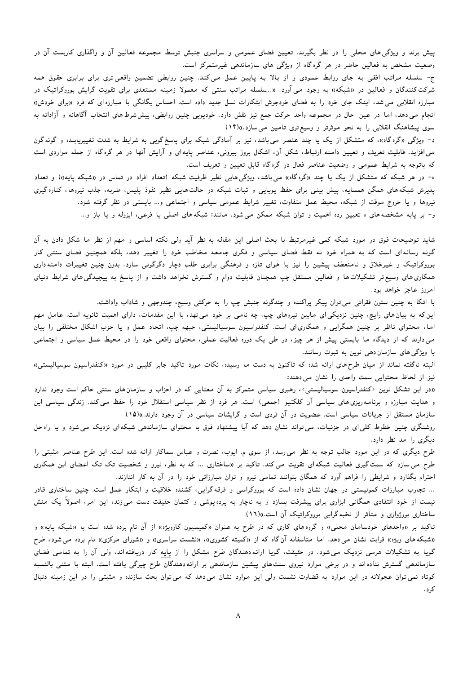پیش برند و ویژگی۵های محلی را در نظر بگیرند. تعیین فضای عمومی و سراسری جنبش توسط مجموعه فعالین آن و واگذاری کاربست آن در وضعیت مشخص به فعالین حاضر در هر گره گاه از ویژگی های سازماندهی غیرمتمرکز است.

ج- سلسله مراتب افقی به جای روابط عمودی و از بالا به پایین عمل میکند. چنین روابطی تضمین واقعیتری برای برابری حقوق همه شرکت کنندگان و فعالین در «شبکه» به وجود می آورد. «..سلسله مراتب سنتی که معمولا زمینه مستعدی برای تقویت گرایش بوروکراتیک در مبارزه انقلابی می شد، اینک جای خود را به فضای خودجوش ابتکارات نسل جدید داده است. احساس یگانگی با مبارزه ای که فرد «برای خودش» انجام می دهد، اما در عین حال در مجموعه واحد حرکت جمع نیز نقش دارد. خودپویی چنین روابطی، پیششرط های انتخاب آگاهانه و آزادانه به سوی پیشاهنگ انقلابی را به نحو موثرتر و وسیع تری تامین می سازد.))(۱۴)

د- ویژگی «گره گاه»، که متشکل از یک یا چند عنصر میباشد، نیز بر آمادگی شبکه برای پاسخ گویی به شرایط به شدت تغییریابنده و گونه گون می افزاید. قابلیت تعریف و تعیین دامنه ارتباط، شکل آن، اشکال بروز بیرونی، عناصر پایه ای و آرایش آنها در هر گره گاه از جمله مواردی است که باتوجه به شرایط عمومی و وضعیت عناصر فعال در گره گاه قابل تعیین و تعریف است.

ه- در هر شبکه که متشکل از یک یا چند «گرهگاه» می باشد، ویژگی هایی نظیر ظرفیت شبکه (تعداد افراد در تماس در «شبکه پایه») و تعداد یذیرش شبکههای همگن همسایه، پیش بینی برای حفظ پویایی و ثبات شبکه در حالتهایی نظیر نفوذ پلیس، ضربه، جذب نیروها، کناره گیری نیروها و یا خروج موقت از شبکه، محیط عمل متفاوت، تغییر شرایط عمومی سیاسی و اجتماعی و… بایستی در نظر گرفته شود. و- بر پایه مشخصههای ه تعیین رده اهمیت و توان شبکه ممکن میشود. مانند: شبکههای اصلی یا فرعی، ایزوله و یا باز و…

شاید توضیحات فوق در مورد شبکه کمی غیرمرتبط با بحث اصلی این مقاله به نظر آید ولی نکته اساسی و مهم از نظر ما شکل دادن به آن گونه رسانهای است که به همراه خود نه فقط فضای سیاسی و فکری جامعه مخاطب خود را تغییر دهد، بلکه همچنین فضای سنتی کار بوروکراتیک و غیرخلاق و نامنعطف پیشین را نیز با هوای تازه و فرهنگی برابری طلب دچار دگرگونی سازد. بدون چنین تغییرات دامنهداری همکاری های وسیع تر تشکیلات ها و فعالین مستقل چپ همچنان قابلیت دوام و گسترش نخواهد داشت و از پاسخ به پیچیدگی های شرایط دنیای امروز عاجز خواهد بود.

با اتکا به چنین ستون فقراتی می توان پیکر پراکنده و چندگونه جنبش چپ را به حرکتی وسیع، چندوجهی و شاداب واداشت.

این که به بیان های رایج، چنین نزدیکی ای مابین نیروهای چپ، چه نامی بر خود می نهد، با این مقدمات، دارای اهمیت ثانویه است. عامل مهم اما، محتوای ناظر بر چنین همگرایی و همکاری|ی است. کنفدراسیون سوسیالیستی، جبهه چپ، اتحاد عمل و یا حزب اشکال مختلفی را بیان می دارند که از دیدگاه ما بایستی پیش از هر چیز، در طی یک دوره فعالیت عملی، محتوای واقعی خود را در محیط عمل سیاسی و اجتماعی با ویژگی های سازمان دهی نوین به ثبوت رسانند.

البته ناگفته نماند از میان طرحهای ارائه شده که تاکنون به دست ما رسیده، نکات مورد تاکید جابر کلیبی در مورد «کنفدراسیون سوسیالیستی» نیز از لحاظ محتوایی سمت واحدی را نشان می دهند:

«در این تشکل نوین <کنفدراسیون سوسیالیستی>، رهبری سیاسی متمرکز به آن معنایی که در احزاب و سازمان های سنتی حاکم است وجود ندارد و هدایت مبارزه و برنامه٫یزی٫های سیاسی آن کلکتیو (جمعی) است. هر فرد از نظر سیاسی استقلال خود را حفظ می کند. زندگی سیاسی این سازمان مستقل از جریانات سیاسی است. عضویت در آن فردی است و گرایشات سیاسی در آن وجود دارند.»(۱۵)

روشنگری چنین خطوط کلی ای در جزئیات، می تواند نشان دهد که آیا پیشنهاد فوق با محتوای سازماندهی شبکه ای نزدیک می شود و یا راه حل دیگری را مد نظر دارد.

طرح دیگری که در این مورد جالب توجه به نظر می رسد، از سوی م. ایوب، نصرت و عباس سماکار ارائه شده است. این طرح عناصر مثبتی را طرح می سازد که سمت گیری فعالیت شبکهای تقویت می کند. تاکید بر «ساختاری … که به نظر، نیرو و شخصیت تک تک اعضای این همکاری احترام بگذارد و شرایطی را فراهم آورد که همگان بتوانند تمامی نیرو و توان مبارزاتی خود را در آن به کار اندازند.

... تجارب مبارزات کمونیستی در جهان نشان داده است که بوروکراسی و فرقه گرایی، کشنده خلاقیت و ابتکار عمل است. چنین ساختاری قادر نیست از خود انتقادی همگانی ابزاری برای پیشرفت بسازد و به ناچار به پردهپوشی و کتمان حقیقت دست می زند، این امر، اصولاً یک منش ساختاری بورژوازی و متاثر از نخبه گرایی بوروکراتیک آن است.»(١٦)

تاکید بر «واحدهای خودسامان محلی» و گروه های کاری که در طرح به عنوان «کمیسیون کارویژه» از آن نام برده شده است با «شبکه پایه» و «شبکههای ویژه» قرابت نشان می دهد. اما متاسفانه آن گاه که از «کمیته کشوری»، «نشست سراسری» و «شورای مرکزی» نام برده می شود، طرح گویا به تشکیلات هرمی نزدیک می شود. در حقیقت، گویا ارائه دهندگان طرح مشکل را از پایه کار دریافته اند، ولی آن را به تمامی فضای سازماندهی گسترش نداده اند و در برخی موارد نیروی سنت های پیشین سازماندهی بر ارائه دهندگان طرح چیرگی یافته است. البته با متنبی بالنسبه کوتاه نمی توان عجولانه در این موارد به قضاوت نشست ولی این موارد نشان می دهد که می توان بحث سازنده و مثبتی را در این زمینه دنبال کرد .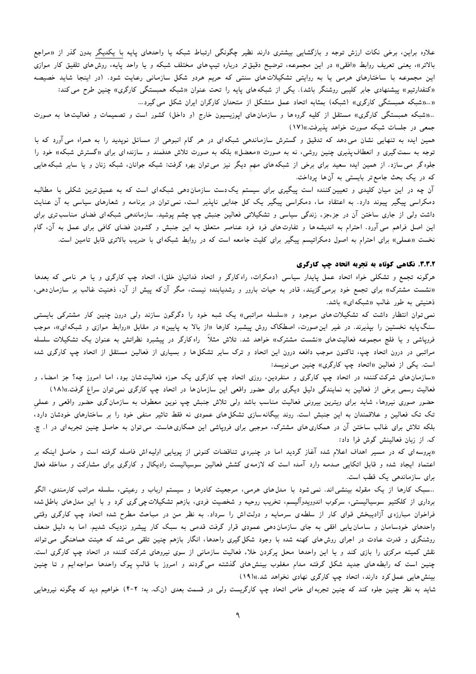علاوه براین، برخی نکات ارزش توجه و بازگشایی بیشتری دارند نظیر چگونگی ارتباط شبکه یا واحدهای پایه با یکدیگر بدون گذر از «مراجع بالاتر»، یعنی تعریف روابط «افقی» در این مجموعه، توضیح دقیقتر درباره تیپهای مختلف شبکه و یا واحد پایه، روشهای تلفیق کار موازی این مجموعه با ساختارهای هرمی یا به روایتی تشکیلاتهای سنتی که حریم هردو شکل سازمانی رعایت شود. (در اینجا شاید خصیصه «کنفدارتیو» پیشنهادی جابر کلیبی روشنگر باشد). یکی از شبکههای پایه را تحت عنوان «شبکه همبستگی کارگری» چنین طرح می کند: ((...((شبكه همبستگی كارگری)) (شبكه) بمثابه اتحاد عمل متشكل از متحدان كارگران ايران شكل می گيرد...

..«شبکه همبستگی کارگری» مستقل از کلیه گروهها و سازمانهای اپوزیسیون خارج (و داخل) کشور است و تصمیمات و فعالیتها به صورت جمعی در جلسات شبکه صورت خواهد پذیرفت.»(۱۷)

همین ایده به تنهایی نشان می دهد که تدقیق و گسترش سازماندهی شبکهای در هر گام انبوهی از مسائل نوپدید را به همراه می آورد که با توجه به سمت گیری و انعطاف پذیری چنین روشی، نه به صورت «معضل» بلکه به صورت تلاش هدفمند و سازنده ای برای «گسترش شبکه» خود را جلوه گر می سازد. از همین ایده سعید برای برخی از شبکههای مهم دیگر نیز می توان بهره گرفت: شبکه جوانان، شبکه زنان و یا سایر شبکههایی که در یک بحث جامع تر بایستی به آن ها پرداخت.

آن چه در این میان کلیدی و تعیین کننده است پیگیری برای سیستم یک دست سازمان دهی شبکه ای است که به عمیق ترین شکلی با مطالبه دمکراسی پیگیر پیوند دارد. به اعتقاد ما، دمکراسی پیگیر یک کل جدایی ناپذیر است، نمیتوان در برنامه و شعارهای سیاسی به آن عنایت داشت ولی از جاری ساختن آن در جزءجزء زندگی سیاسی و تشکیلاتی فعالین جنبش چپ چشم پوشید. سازماندهی شبکه ای فضای مناسب تری برای این اصل فراهم می آورد. احترام به اندیشهها و تفاوتهای فرد فرد عناصر متعلق به این جنبش و گشودن فضای کافی برای عمل به آن، گام نخست «عملی» برای احترام به اصول دمکراتیسم پیگیر برای کلیت جامعه است که در روابط شبکهای با ضریب بالاتری قابل تامین است.

## ۳.۳.۲. نگاهی کوتاه به تجربه اتحاد چپ کارگری

هرگونه تجمع و تشکلی خواه اتحاد عمل پایدار سیاسی (دمکرات، راه کارگر و اتحاد فدائیان خلق)، اتحاد چپ کارگری و یا هر نامی که بعدها «نشست مشترک» برای تجمع خود برمی گزیند، قادر به حیات بارور و رشدیابنده نیست، مگر آن که پیش از آن، ذهنیت غالب بر سازمان دهی، ذهنیتی به طور غالب «شبکهای» باشد.

نمی توان انتظار داشت که تشکیلات های موجود و «سلسله مراتبی» یک شبه خود را دگرگون سازند ولی درون چنین کار مشترکی بایستی سنگ $پایه نخستین را بپذیرند. در غیر این صورت، اصطکاک روش پیشبرد کارها «از بالا به پایین» در مقابل «روابط موازی و شبکهای»، موجب$ فرویاشی و یا فلج مجموعه فعالیتهای «نشست مشترک» خواهد شد. تلاش مثلاً راه کارگر در پیشبرد نظراتش به عنوان یک تشکیلات سلسله مراتبی در درون اتحاد چی، تاکنون موجب دافعه درون این اتحاد و ترک سایر تشکل ها و بسیاری از فعالین مستقل از اتحاد چپ کارگری شده است. یکی از فعالین «اتحاد چپ کارگری» چنین می نویسد:

«سازمان های شرکت کننده در اتحاد چپ کارگری و منفردین، روزی اتحاد چپ کارگری یک حوزه فعالیت شان بود، اما امروز چه؟ جز امضاء و فعالیت رسمی برخی از فعالین به نمایندگی دلیل دیگری برای حضور واقعی این سازمانها در اتحاد چپ کارگری نمی توان سراغ گرفت.»(۱۸)

حضور صوری نیروها، شاید برای ویترین بیرونی فعالیت مناسب باشد ولی تلاش جنبش چپ نوین معطوف به سازمان گری حضور واقعی و عملی تک تک فعالین و علاقمندان به این جنبش است. روند بیگانهسازی تشکل های عمودی نه فقط تاثیر منفی خود را بر ساختارهای خودشان دارد، بلکه تلاش برای غالب ساختن آن در همکاری های مشترک، موجبی برای فروپاشی این همکاری هاست. می توان به حاصل چنین تجربه ای در ا. چ. ک. از زبان فعالینش گوش فرا داد:

«یروسه ای که در مسیر اهداف اعلام شده آغاز گردید اما در چنبره ی تناقضات کنونی از پویایی اولیهاش فاصله گرفته است و حاصل اینکه بر اعتماد ایجاد شده و قابل اتکایی صدمه وارد آمده است که لازمهی کشش فعالین سوسیالیست رادیکال و کارگری برای مشارکت و مداخله فعال برای سازماندهی یک قطب است.

..سبک کارها از یک مقوله بینشی|ند. نمیشود با مدل۵های هرمی، مرجعیت کادرها و سیستم ارباب و رعیتی، سلسله مراتب کارمندی، الگو برداری از کلکتیو سوسیالیستی، سرکوب اندوویدوآلیسم، تخریب روحیه و شخصیت فردی، بازهم تشکیلات چی گری کرد و با این مدل(های باطل شده فراخوان مبارزهی آزادیبخش قوای کار از سلطهی سرمایه و دولتاش را سرداد. به نظر من در مباحث مطرح شده اتحاد چپ کارگری وقتی واحدهای خودسامان و سامان پابی افقی به جای سازمان دهی عمودی قرار گرفت قدمی به سبک کار پیشرو نزدیک شدیم. اما به دلیل ضعف روشنگری و قدرت عادت در اجرای روش های کهنه شده با وجود شکل گیری واحدها، انگار بازهم چنین تلقی می شد که هیئت هماهنگی می تواند نقش کمیته مرکزی را بازی کند و یا این واحدها محل پرکردن خلاء فعالیت سازمانی از سوی نیروهای شرکت کننده در اتحاد چپ کارگری است. چنین است که رابطههای جدید شکل گرفته مدام مغلوب بینشهای گذشته می گردند و امروز با قالبِ پوک واحدها مواجهایم و تا چنین بینش هایی عمل کرد دارند، اتحاد چپ کارگری نهادی نخواهد شد.»(۱۹)

شاید به نظر چنین جلوه کند که چنین تجربه ای خاص اتحاد چپ کارگریست ولی در قسمت بعدی (ن.ک. به: ۲-۴) خواهیم دید که چگونه نیروهایی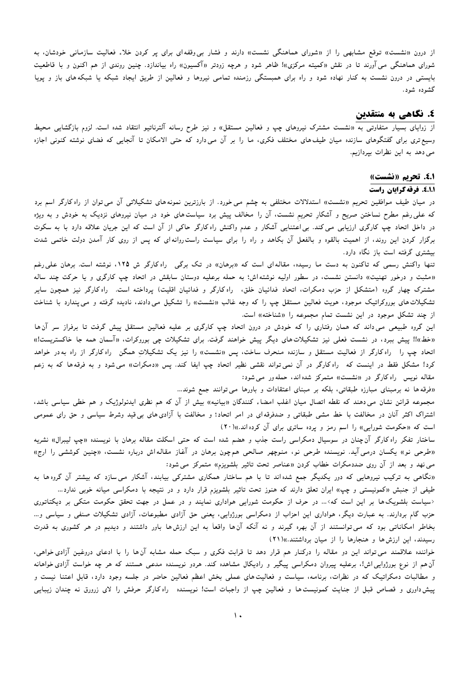از درون «نشست» توقع مشابهی را از «شورای هماهنگی نشست» دارند و فشار بی وقفه ای برای پر کردن خلاء فعالیت سازمانی خودشان، به شورای هماهنگی می آورند تا در نقش «کمیته مرکزی»! ظاهر شود و هرچه زودتر «آکسیون» راه بیاندازد. چنین روندی از هم اکنون و با قاطعیت بایستی در درون نشست به کنار نهاده شود و راه برای همبستگی رزمنده تمامی نیروها و فعالین از طریق ایجاد شبکه یا شبکههای باز و پویا گشوده شود.

# ٤. نگاهي به منتقدين

از زوایای بسیار متفاوتی به «نشست مشترک نیروهای چپ و فعالین مستقل» و نیز طرح رسانه آلترناتیو انتقاد شده است. لزوم بازگشایی محیط وسیع تری برای گفتگوهای سازنده میان طیف های مختلف فکری، ما را بر آن می1دارد که حتی الامکان تا آنجایی که فضای نوشته کنونی اجازه می دهد به این نظرات بپردازیم.

#### 8.1. تحريم «نشست»

#### 9.1.1. فرقه گرایان راست

در میان طیف موافقین تحریم «نشست» استدلالات مختلفی به چشم می خورد. از بارزترین نمونه های تشکیلاتی آن می توان از راه کارگر اسم برد که علی رغم مطرح نساختن صریح و آشکارِ تحریم نشست، آن را مخالف پیش برد سیاستهای خود در میان نیروهای نزدیک به خودش و به ویژه در داخل اتحاد چپ کارگری ارزیابی می کند. بی اعتنایی آشکار و عدم واکنش راه کارگر حاکی از آن است که این جریان علاقه دارد با به سکوت برگزار کردن این روند، از اهمیت بالقوه و بالفعل آن بکاهد و راه را برای سیاست راست روانه ای که پس از روی کار آمدن دولت خاتمی شدت بیشتری گرفته است باز نگاه دارد.

تنها واکنش رسمی که تاکنون به دست ما رسیده، مقالهای است که «برهان» در تک برگی ِ راه کارگر ش ۱۲۵، نوشته است. برهان علی رغم «مثبت و درخور تهنیت» دانستن نشست، در سطور اولیه نوشته اش؛ به حمله برعلیه دوستان سابقش در اتحاد چپ کارگری و یا حرکت چند ساله مشترک چهار گروه (متشکل از حزب دمکرات، اتحاد فدائیان خلق، راهکارگر و فدائیان اقلیت) پرداخته است. راهکارگر نیز همچون سایر تشکیلات های بوروکراتیک موجود، هویت فعالین مستقل چپ را که وجه غالب «نشست» را تشکیل می دادند، نادیده گرفته و می یندارد با شناخت از چند تشکل موجود در این نشست تمام مجموعه را «شناخته» است.

این گروه طبیعی می۵داند که همان رفتاری را که خودش در درون اتحاد چپ کارگری بر علیه فعالین مستقل پیش گرفت تا برفراز سر آن۱ا «خط»!! پیش ببرد، در نشست فعلی نیز تشکیلاتهای دیگر پیش خواهند گرفت. برای تشکیلات چی بوروکرات، «آسمان همه جا خاکستریست!» اتحاد چپ را راه کارگر از فعالیت مستقل و سازنده منحرف ساخت، پس «نشست» را نیز یک تشکیلاتِ همگن راه کارگر از راه بهدر خواهد کرد! مشکل فقط در اینست که راه کارگر در آن نمیتواند نقشی نظیر اتحاد چپ ایفا کند. پس «دمکرات» می شود و به فرقهها که به زعم مقاله نویس راه کارگر در «نشست» متمرکز شده اند، حمله ور می شود:

«فرقه ها نه برمبنای مبارزه طبقاتی، بلکه بر مبنای اعتقادات و باورها می توانند جمع شوند...

مجموعه قرائن نشان می0دهند که نقطه اتصال میان اغلب امضاء کنندگان «بیانیه» بیش از آن که هم نظری ایدئولوژیک و هم خطی سیاسی باشد، اشتراک اکثر آنان در مخالفت با خط مشی طبقاتی و ضدفرقه ای در امر اتحاد؛ و مخالفت با آزادی۵عای بیقید وشرط سیاسی و حق رای عمومی است که «حکومت شورایی» را اسم رمز و پرده ساتری برای آن کرده اند.»(٢٠)

ساختار تفکر راه کارگر آنچنان در سوسیال دمکراسی راست جذب و هضم شده است که حتی اسکلت مقاله برهان با نویسنده «چپ لیبرال» نشریه «طرحی نو» یکسان درمی آید. نویسنده طرحی نو، منوچهر صالحی هم چون برهان در آغاز مقالهاش درباره نشست، «چنین کوششی را ارج» می نهد و بعد از آن روی ضددمکرات خطاب کردن «عناصر تحت تاثیر بلشویزم» متمرکز می شود:

«نگاهی به ترکیب نیروهایی که دور یکدیگر جمع شده اند تا با هم ساختار همکاری مشترکی بیابند، آشکار می سازد که بیشتر آن گروه ا به طیفی از جنبش «کمونیستی و چپ» ایران تعلق دارند که هنوز تحت تاثیر بلشویزم قرار دارد و در نتیجه با دمکراسی میانه خوبی ندارد...

<سیاست بلشویکها بر این است که>... در حرف از حکومت شورایی هواداری نمایند و در عمل در جهت تحقق حکومت متکی بر دیکتاتوری حزب گام بردارند. به عبارت دیگر، هواداری این احزاب از دمکراسی بورژوایی، یعنی حق آزادی مطبوعات، آزادی تشکیلات صنفی و سیاسی و… بخاطر امکاناتی بود که میتوانستند از آن بهره گیرند و نه آنکه آنها واقعاً به این ارزشها باور داشتند و دیدیم در هر کشوری به قدرت رسیدند، این ارزش ها و هنجارها را از میان برداشتند.))(۲۱)

خواننده علاقمند می تواند این دو مقاله را درکنار هم قرار دهد تا قرابت فکری و سبک حمله مشابه آن ها را با ادعای دروغین آزادی خواهی، آن هم از نوع بورژوایی اش!، برعلیه پیروان دمکراسی پیگیر و رادیکال مشاهده کند. هردو نویسنده مدعی هستند که هر چه خواست آزادی خواهانه و مطالبات دمکراتیک که در نظرات، برنامه، سیاست و فعالیت۱عای عملی بخش اعظم فعالین حاضر در جلسه وجود دارد، قابل اعتنا نیست و پیش داوری و قصاص قبل از جنایت کمونیست ها و فعالین چپ از واجبات است! نویسنده راه کارگر حرفش را لای زرورق نه چندان زیبایی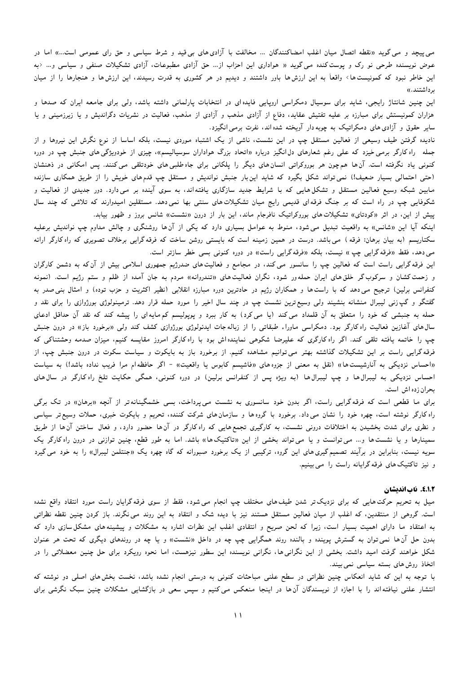می پیچد و می گوید «نقطه اتصال میان اغلب امضاکنندگان … مخالفت با آزادی های بی قید و شرط سیاسی و حق رای عمومی است…» اما در عوض نویسنده طرحی نو رک و پوست کنده می گوید « هواداری این احزاب از… حق آزادی مطبوعات، آزادی تشکیلات صنفی و سیاسی و… <به این خاطر نبود که کمونیست ها> واقعاً به این ارزش ها باور داشتند و دیدیم در هر کشوری به قدرت رسیدند، این ارزش ها و هنجارها را از میان برداشتند.»

این چنین شانتاژ رایجی، شاید برای سوسیال دمکراسی اروپایی فایده ای در انتخابات پارلمانی داشته باشد، ولی برای جامعه ایران که صدها و هزاران کمونیستش برای مبارزه بر علیه تفتیش عقاید، دفاع از آزادی مذهب و آزادی از مذهب، فعالیت در نشریات دگراندیش و یا زیرزمینی و یا سایر حقوق و آزادی های دمکراتیک به چوبه دار آویخته شده اند، نفرت برمی انگیزد.

نادیده گرفتن طیف وسیعی از فعالین مستقل چپ در این نشست، ناشی از یک اشتباه موردی نیست، بلکه اساسا از نوع نگرش این نیروها و از جمله راه کارگر برمی خیزد که علی رغم شعارهای دل۱نگیز درباره «اتحاد بزرگ هواداران سوسیالیسم»، چیزی از خودویژگی۵های جنبش چپ در دوره کنونی یاد نگرفته است. آنها همچون هر بوروکراتی انسانهای دیگر را پلکانی برای جاه طلبی های خودتلقی می کنند. پس امکانی در ذهنشان (حتی احتمالی بسیار ضعیف!) نمی تواند شکل بگیرد که شاید این بار جنبش نواندیش و مستقل چپ قدم های خویش را از طریق همکاری سازنده مابین شبکه وسیع فعالین مستقل و تشکل۵ایبی که با شرایط جدید سازگاری یافته۱ند، به سوی آینده بر می۱دارد. دور جدیدی از فعالیت و شکوفایی چپ در راه است که بر جنگ فرقهای قدیمی رایج میان تشکیلاتهای سنتی بها نمیدهد. مستقلین امیدوارند که تلاشی که چند سال پیش از این، در اثر «کودتای» تشکیلات های بوروکراتیک نافرجام ماند، این بار از درون «نشست» شانس بروز و ظهور بیابد.

اینکه آیا این «شانس» به واقعیت تبدیل می شود، منوط به عوامل بسیاری دارد که یکی از آنها روشنگری و چالش مداوم چپ نواندیش برعلیه سکتاریسم (به بیان برهان: فرقه ) می باشد. درست در همین زمینه است که بایستی روشن ساخت که فرقه گرایی برخلاف تصویری که راه کارگر ارائه می دهد، فقط «فرقه گرایی چپ » نیست، بلکه «فرقه گرایی راست» در دوره کنونی بسی خطر سازتر است.

این فرقه گرایی راست است که فعالین چپ را سانسور می کند، در مجامع و فعالیت۵های ضدرژیم جمهوری اسلامی بیش از آنکه به دشمن کارگران و زحمت کشان و سرکوب گر خلق های ایران حمله ور شود، نگران فعالیت های «تندروانه» مردم به جان آمده از ظلم و ستم رژیم است. (نمونه کنفرانس برلین) ترجیح می دهد که با راست ها و همکاران رژیم در حادترین دوره مبارزه انقلابی (نظیر اکثریت و حزب توده) و امثال بنی صدر به گفتگو و گپ زنی لیبرال منشانه بنشیند ولی وسیع ترین نشست چپ در چند سال اخیر را مورد حمله قرار دهد. ترمینولوژی بورژوازی را برای نقد و حمله به جنبشی که خود را متعلق به آن قلمداد می کند (یا می کرد) به کار ببرد و پوپولیسم کم مایهای را پیشه کند که نقد آن حداقل ادعای سال های آغازین فعالیت راه کارگر بود. دمکراسی ماوراء طبقاتی را از زباله جات ایدئولوژی بورژوازی کشف کند ولی «برخورد باز» در درون جنبش چپ را خاتمه یافته تلقی کند. اگر راه کارگری که علیرضا شکوهی نماینده اش بود با راه کارگر امروز مقایسه کنیم، میزان صدمه وحشتناکی که فرقه گرایی راست بر این تشکیلات گذاشته بهتر می توانیم مشاهده کنیم. از برخورد باز به بایکوت و سیاست سکوت در درون جنبش چپ، از «احساس نزدیکی به آنارشیست ها» (نقل به معنی از جزوه های «فاشیسم کابوس یا واقعیت» - اگر حافظه ام مرا فریب نداده باشد!) به سیاست احساس نزدیکی به لیبرال ها و چپ لیبرال ها (به ویژه پس از کنفرانس برلین) در دوره کنونی، همگی حکایت تلخ راه کارگر در سال های بحران زده اش است.

برای ما قطعی است که فرقه گرایی راست، اگر بدون خود سانسوری به نشست میپرداخت، بسی خشمگینانهتر از آنچه «برهان» در تک برگی راه کارگر نوشته است، چهره خود را نشان می داد. برخورد با گروه ها و سازمان های شرکت کننده، تحریم و بایکوت خبری، حملات وسیع تر سیاسی و نظری برای شدت بخشیدن به اختلافات درونی نشست، به کارگیری تجمع هایی که راه کارگر در آن ها حضور دارد، و فعال ساختن آن ها از طریق سمینارها و یا نشست ها و… می توانست و یا می تواند بخشی از این «تاکتیکها» باشد. اما به طور قطع، چنین توازنی در درون راه کارگر یک سویه نیست، بنابراین در برآیند تصمیمگیری۵های این گروه، ترکیبی از یک برخورد صبورانه که گاه چهره یک «جنتلمن لیبرال» را به خود می گیرد و نیز تاکتیک های فرقه گرایانه راست را می بینیم.

#### 8.1.2. ناب اندیشان

میل به تحریم حرکت۱عایی که برای نزدیک تر شدن طیف۵عای مختلف چپ انجام می۵شود، فقط از سوی فرقهگرایان راست مورد انتقاد واقع نشده است. گروهی از منتقدین، که اغلب از میان فعالین مستقل هستند نیز با دیده شک و انتقاد به این روند می نگرند. باز کردن چنین نقطه نظراتی به اعتقاد ما دارای اهمیت بسیار است، زیرا که لحن صریح و انتقادی اغلب این نظرات اشاره به مشکلات و پیشینههای مشکل سازی دارد که بدون حل آنها نمیتوان به گسترش پوینده و بالنده روند همگرایی چپ چه در داخل «نشست» و یا چه در روندهای دیگری که تحت هر عنوان شکل خواهند گرفت امید داشت. بخشی از این نگرانی ها، نگرانی نویسنده این سطور نیزهست، اما نحوه رویکرد برای حل چنین معضلاتی را در اتخاذ روش های بسته سیاسی نمی بیند.

با توجه به این که شاید انعکاس چنین نظراتی در سطح علنی مباحثات کنونی به درستی انجام نشده باشد، نخست بخش های اصلی دو نوشته که انتشار علنی نیافتهاند را با اجازه از نویسندگان آن۱ها در اینجا منعکس میکنیم و سپس سعی در بازگشایی مشکلات چنین سبک نگرشی برای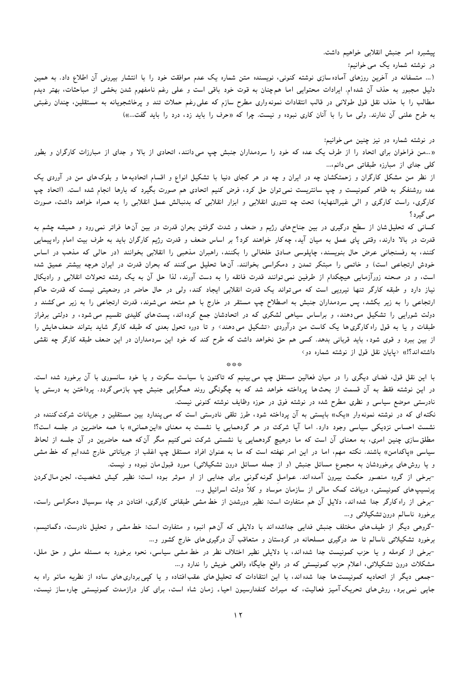ییشبرد امر جنبش انقلابی خواهیم داشت.

در نوشته شماره یک می خوانیم:

(… متسفانه در آخرین روزهای آماده سازی نوشته کنونی، نویسنده متن شماره یک عدم موافقت خود را با انتشار بیرونی آن اطلاع داد. به همین دلیل مجبور به حذف آن شده ام. ایرادات محتوایی اما همچنان به قوت خود باقی است و علی رغم نامفهوم شدن بخشی از مباحثات، بهتر دیدم مطالب را با حذف نقل قول طولانی در قالب انتقادات نمونهواری مطرح سازم که علی رغم حملات تند و پرخاشجویانه به مستقلین، چندان رغبتی به طرح علنی آن ندارند. ولی ما را با آنان کاری نبوده و نیست. چرا که «حرف را باید زد، درد را باید گفت...»)

## در نوشته شماره دو نیز چنین می خوانیم:

«…من فراخوان برای اتحاد را از طرف یک عده که خود را سردمداران جنبش چپ می0دانند، اتحادی از بالا و جدای از مبارزات کارگران و بطور کلی جدای از مبارزه طبقاتی می دانم....

از نظر من مشکل کارگران و زحمتکشان چه در ایران و چه در هر کجای دنیا با تشکیل انواع و اقسام اتحادیهها و بلوکهای من در آوردی یک عده روشنفکر به ظاهر کمونیست و چپ سانتریست نمی¤وان حل کرد، فرض کنیم اتحادی هم صورت بگیرد که بارها انجام شده است. (اتحاد چپ کارگری، راست کارگری و الی غیرالنهایه) تحت چه تئوری انقلابی و ابزار انقلابی که بدنبالش عمل انقلابی را به همراه خواهد داشت، صورت مے گیرد؟

کسانی که تحلیل شان از سطح درگیری در بین جناح های رژیم و ضعف و شدت گرفتن بحران قدرت در بین آن ها فراتر نمی رود و همیشه چشم به قدرت در بالا دارند، وقتی پای عمل به میان آید، چه کار خواهند کرد؟ بر اساس ضعف و قدرت رژیم کارگران باید به طرف بیت امام راهپیمایی کنند، به رفسنجانی عرض حال بنویسند، چاپلوسی صادق خلخالی را بکنند، راهبران مذهبی را انقلابی بخوانند (در حالی که مذهب در اساس خودش ارتجاعی است) و خاتمی را مبتکر تمدن و دمکراسی بخوانند. آنها تحلیل میکنند که بحران قدرت در ایران هرچه بیشتر عمیق شده است، و در صحنه زورآزمایی هیچکدام از طرفین نمی توانند قدرت فائقه را به دست آورند، لذا حل آن به یک رشته تحولات انقلابی و رادیکال نیاز دارد و طبقه کارگر تنها نیرویی است که می تواند یک قدرت انقلابی ایجاد کند، ولی در حال حاضر در وضعیتی نیست که قدرت حاکم ارتجاعی را به زیر بکشد، پس سردمداران جنبش به اصطلاح چپ مستقر در خارج با هم متحد می شوند، قدرت ارتجاعی را به زیر می کشند و دولت شورایی را تشکیل می۵دند، و براساس سیاهی لشکری که در اتحادشان جمع کرده اند، پست۵عای کلیدی تقسیم میشود، و دولتی برفراز طبقات و یا به قول راه کارگری۵ا یک کاست من درآوردی <تشکیل می۵دند> و تا دوره تحول بعدی که طبقه کارگر شاید بتواند ضعف۱یاش را از بین ببرد و قوی شود، باید قربانی بدهد. کسی هم حق نخواهد داشت که طرح کند که خود این سردمداران در این ضعف طبقه کارگر چه نقشی داشته اند؟!)) <یایان نقل قول از نوشته شماره دو>

\*\*\*

با این نقل قول، فضای دیگری را در میان فعالین مستقل چپ می بینیم که تاکنون با سیاست سکوت و یا خود سانسوری با آن برخورد شده است. در این نوشته فقط به آن قسمت از بحثها پرداخته خواهد شد که به چگونگی روند همگرایی جنبش چپ بازمی گردد. پرداختن به درستی پا نادرستی موضع سیاسی و نظری مطرح شده در نوشته فوق در حوزه وظایف نوشته کنونی نیست.

نکتهای که در نوشته نمونهوار «یک» بایستی به آن یرداخته شود، طرز تلقی نادرستی است که می پندارد بین مستقلین و جریانات شرکت کننده در نشست احساس نزدیکی سیاسی وجود دارد. اما آیا شرکت در هر گردهمایی یا نشست به معنای «این همانی» با همه حاضرین در جلسه است؟! مطلقسازی چنین امری، به معنای آن است که ما درهیچ گردهمایی یا نشستی شرکت نمی کنیم مگر آن که همه حاضرین در آن جلسه از لحاظ سیاسی «پاکدامن» باشند. نکته مهم، اما در این امر نهفته است که ما به عنوان افراد مستقل چپ اغلب از جریاناتی خارج شده ایم که خط مشی و یا روش های برخوردشان به مجموع مسائل جنبش (و از جمله مسائل درون تشکیلاتی) مورد قبول مان نبوده و نیست.

-برخی از گروه منصور حکمت بیرون آمده اند. عوامل گونه گونی برای جدایی از او موثر بوده است: نظیر کیش شخصیت، لجن مال کردن پرنسیپ های کمونیستی، دریافت کمک مالی از سازمان موساد و کلاً دولت اسرائیل و…

-برخی از راه کارگر جدا شده اند، دلایل آن هم متفاوت است: نظیر دورشدن از خط مشی طبقاتی کارگری، افتادن در چاه سوسیال دمکراسی راست، برخورد ناسالم درون تشکیلاتی و…

-گروهی دیگر از طیف های مختلف جنبش فدایی جداشده اند با دلایلی که آن هم انبوه و متفاوت است: خط مشی و تحلیل نادرست، دگماتیسم، برخورد تشکیلاتی ناسالم تا حد درگیری مسلحانه در کردستان و متعاقب آن درگیری های خارج کشور و…

-برخی از کومله و یا حزب کمونیست جدا شده اند، با دلایلی نظیر اختلاف نظر در خط مشی سیاسی، نحوه برخورد به مسئله ملی و حق ملل، مشکلات درون تشکیلاتی، اعلام حزب کمونیستی که در واقع جایگاه واقعی خویش را ندارد و…

-جمعی دیگر از اتحادیه کمونیست ها جدا شده اند، با این انتقادات که تحلیل های عقبافتاده و یا کیی برداری های ساده از نظریه مائو راه به جایی نمی برد، روش های تحریک آمیز فعالیت، که میراث کنفدارسیون احیاء زمان شاه است، برای کار درازمدت کمونیستی چاره ساز نیست،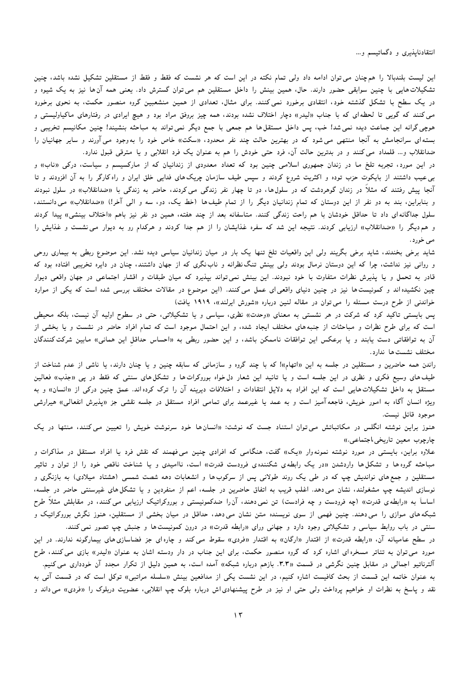انتقادناپذیری و دگماتیسم و…

این لیست بلندبالا را هم چنان می توان ادامه داد ولی تمام نکته در این است که هر نشست که فقط و فقط از مستقلین تشکیل نشده باشد، چنین تشکیلات هایی با چنین سوابقی حضور دارند. حال، همین بینش را داخل مستقلین هم می¤وان گسترش داد. یعنی همه آن۱ا نیز به یک شیوه و در یک سطح با تشکل گذشته خود، انتقادی برخورد نمیکنند. برای مثال، تعدادی از همین منشعبین گروه منصور حکمت، به نحوی برخورد می کنند که گویی تا لحظهای که با جناب «لیدر» دچار اختلاف نشده بودند، همه چیز بروفق مراد بود و هیچ ایرادی در رفتارهای ماکیاولیستی و هوچی گرانه این جماعت دیده نمیشد! خب، پس داخل مستقلها هم جمعی با جمع دیگر نمیتواند به مباحثه بنشیند! چنین مکانیسم تخریبی و بسته|ی سرانجامش به آنجا منتهی می شود که در بهترین حالت چند نفر محدود، «سکت» خاص خود را بهوجود میآورند و سایر جهانیان را ضدانقلاب و… قلمداد می کنند و در بدترین حالت آن، فرد حتی خودش را هم به عنوان یک فرد انقلابی و یا مترقی قبول ندارد.

در این مورد، تجربه تلخ ما در زندان جمهوری اسلامی چنین بود که تعداد معدودی از زندانیان که از مارکسیسم و سیاست، درکی «ناب» و بی عیب داشتند از بایکوت حزب توده و اکثریت شروع کردند و سپس طیف سازمان چریک۵های فدایی خلق ایران و راه کارگر را به آن افزودند و تا آنجا ییش رفتند که مثلاً در زندان گوهردشت که در سلول۱ها، دو تا چهار نفر زندگی میکردند، حاضر به زندگی با «ضدانقلاب» در سلول نبودند و بنابراین، بند به دو نفر از این دوستان که تمام زندانیان دیگر را از تمام طیف ها (خط یک، دو، سه و الی آخر!) «ضدانقلاب» میbدانستند، سلول جداگانه ای داد تا حداقل خودشان با هم راحت زندگی کنند. متاسفانه بعد از چند هفته، همین دو نفر نیز باهم «اختلاف بینشی» پیدا کردند و هم دیگر را «ضدانقلاب» ارزیابی کردند. نتیجه این شد که سفره غذایشان را از هم جدا کردند و هرکدام رو به دیوار می نشست و غذایش را مي خورد.

شاید برخی بخندند، شاید برخی بگریند ولی این واقعیات تلخ تنها یک بار در میان زندانیان سیاسی دیده نشد. این موضوع ربطی به بیماری روحی و روانی نیز نداشت، چرا که این دوستان نرمال بودند ولی بینش تنگ نظرانه و ناب نگری که از جهان داشتند، چنان در دایره تخریبی افتاده بود که قادر به تحمل و یا پذیرش نظرات متفاوت با خود نبودند. این بینش نمیتواند بپذیرد که میان طبقات و اقشار اجتماعی در جهان واقعی دیوار چین نکشیده اند و کمونیست ها نیز در چنین دنیای واقعی ای عمل می کنند. (این موضوع در مقالات مختلف بررسی شده است که یکی از موارد خواندنی از طرح درست مسئله را می توان در مقاله لنین درباره «شورش ایرلند»، ۱۹۱۹ یافت)

پس بایستی تاکید کرد که شرکت در هر نشستی به معنای «وحدت» نظری، سیاسی و یا تشکیلاتی، حتی در سطوح اولیه آن نیست، بلکه محیطی است که برای طرح نظرات و مباحثات از جنبههای مختلف ایجاد شده، و این احتمال موجود است که تمام افراد حاضر در نشست و یا بخشی از آن به توافقاتی دست یابند و یا برعکس این توافقات ناممکن باشد، و این حضور ربطی به «احساس حداقل این همانی» مابین شرکت کنندگان مختلف نشست ها ندارد.

راندن همه حاضرین و مستقلین در جلسه به این «اتهام»! که با چند گروه و سازمانی که سابقه چنین و یا چنان دارند، یا ناشی از عدم شناخت از طیف های وسیع فکری و نظری در این جلسه است و یا تائید این شعار دل خواه بوروکرات۱ه و تشکل۵عای سنتی که فقط در پی «جذب» فعالین مستقل به داخل تشکیلات هایی است که این افراد به دلایل انتقادات و اختلافات دیرینه آن را ترک کرده اند. عمق چنین درکی از «انسان» و به ویژه انسان آگاه به امور خویش، فاجعه آمیز است و به عمد یا غیرعمد برای تمامی افراد مستقل در جلسه نقشی جز «پذیرش انفعالی» هیرارشی موجود قائل نيست.

هنوز براین نوشته انگلس در مکاتباتش می توان استناد جست که نوشت: «انسانها خود سرنوشت خویش را تعیین می کنند، منتها در یک چارچوب معين تاريخي،اجتماعي.»

علاوه براین، بایستی در مورد نوشته نمونهوار «یک» گفت، هنگامی که افرادی چنین می فهمند که نقش فرد یا افراد مستقل در مذاکرات و مباحثه گروه او تشکلها واردشدن «در یک رابطهی شکنندهی فرودست قدرت» است، ناامیدی و یا شناخت ناقص خود را از توان و تاثیر مستقلین و جمع های نواندیش چپ که در طی یک روند طولانی پس از سرکوب ها و انشعابات دهه شصت شمسی (هشتاد میلادی) به بازنگری و نوسازی اندیشه چپ مشغولند، نشان می دهد. اغلب قریب به اتفاق حاضرین در جلسه، اعم از منفردین و یا تشکل۵های غیرسنتی حاضر در جلسه، اساساً به «رابطهی قدرت» (چه فرودست و چه فرادست) تن نمی۵دهند، آنرا ضدکمونیستی و بوروکراتیک ارزیابی می کنند، در مقابلش مثلاً طرح شبکههای موازی را می دهند. چنین فهمی از سوی نویسنده متن نشان می دهد، حداقل در میان بخشی از مستقلین، هنوز نگرش بوروکراتیک و سنتی در باب روابط سیاسی و تشکیلاتی وجود دارد و جهانی ورای «رابطه قدرت» در درون کمونیست۱ه و جنبش چپ تصور نمی کنند.

در سطح عامیانه آن، «رابطه قدرت» از اقتدار «ارگان» به اقتدار «فردی» سقوط می کند و چاره ای جز فضاسازی های بیمارگونه ندارند. در این مورد میتوان به تئاتر مسخرهای اشاره کرد که گروه منصور حکمت، برای این جناب در دار ودسته اشان به عنوان «لیدر» بازی می کنند، طرح آلترناتیو اجمالی در مقابل چنین نگرشی در قسمت «۳.۳. بازهم درباره شبکه» آمده است، به همین دلیل از تکرار مجدد آن خودداری می کنیم. به عنوان خاتمه این قسمت از بحث کافیست اشاره کنیم، در این نشست یکی از مدافعین بینش «سلسله مراتبی» توکل است که در قسمت آتی به نقد و پاسخ به نظرات او خواهیم پرداخت ولبی حتبی او نیز در طرح پیشنهادیlش درباره بلوک چپ انقلابی، عضویت دربلوک را «فردی» می1ند و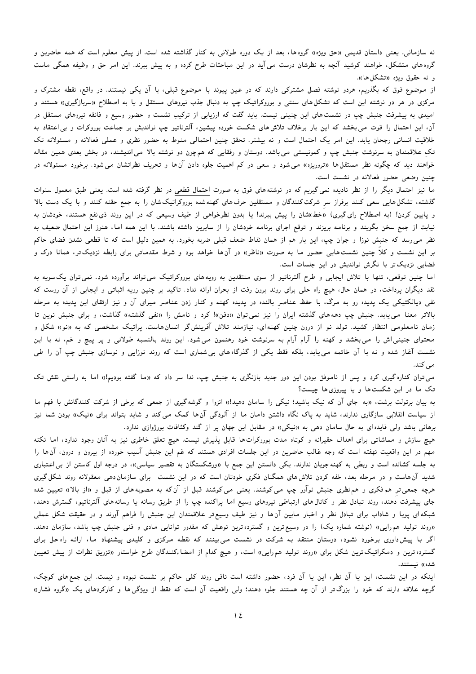نه سازمانی. یعنی داستان قدیمی «حق ویژه» گروهها، بعد از یک دوره طولانی به کنار گذاشته شده است. از پیش معلوم است که همه حاضرین و گروه های متشکل، خواهند کوشید آنچه به نظرشان درست می آید در این مباحثات طرح کرده و به پیش ببرند. این امر حق و وظیفه همگی ماست و نه حقوق ويژه «تشكل ها».

از موضوع فوق که بگذریم، هردو نوشته فصل مشترکی دارند که در عین پیوند با موضوع قبلی، با آن یکی نیستند. در واقع، نقطه مشترک و مرکزی در هر دو نوشته این است که تشکل های سنتی و بوروکراتیک چپ به دنبال جذب نیروهای مستقل و یا به اصطلاح «سربازگیری» هستند و امیدی به پیشرفت جنبش چپ در نشست های این چنینی نیست. باید گفت که ارزیابی از ترکیب نشست و حضور وسیع و فائقه نیروهای مستقل در آن، این احتمال را قوت می بخشد که این بار برخلاف تلاش های شکست خورده پیشین، آلترناتیو چپ نواندیش بر جماعت بوروکرات و بی اعتقاد به خلاقیت انسانی رجحان یابد. این امر یک احتمال است و نه بیشتر. تحقق چنین احتمالی منوط به حضور نظری و عملی فعالانه و مسئولانه تک تکِ علاقمندان به سرنوشت جنبش چپ و کمونیستی می باشد. دوستان و رفقایی که همچون دو نوشته بالا می اندیشند، در بخش بعدی همین مقاله خواهند دید که چگونه نظر مستقل۵ا «تروریزه» میشود و سعی در کم اهمیت جلوه دادن آنها و تحریف نظراتشان می شود. برخورد مسئولانه در چنین وضعی حضور فعالانه در نشست است.

ما نیز احتمال دیگر را از نظر نادیده نمی گیریم که در نوشتههای فوق به صورت احتمال قطعی در نظر گرفته شده است. یعنی طبق معمول سنوات گذشته، تشکل هایی سعی کنند برفراز سر شرکت کنندگان و مستقلین حرف های کهنه شده بوروکراتیک شان را به جمع حقنه کنند و با یک دست بالا و پایین کردن! (به اصطلاح رای گیری) «خط»شان را پیش ببرند! یا بدون نظرخواهی از طیف وسیعی که در این روند ذی،نفع هستند، خودشان به نیابت از جمع سخن بگویند و برنامه بریزند و توقع اجرای برنامه خودشان را از سایرین داشته باشند. با این همه اما، هنوز این احتمال ضعیف به نظر می رسد که جنبش نوزا و جوان چپ، این بار هم از همان نقاط ضعف قبلی ضربه بخورد. به همین دلیل است که تا قطعی نشدن فضای حاکم بر این نشست و کلاً چنین نشست۵ایی حضور ما به صورت «ناظر» در آن۱ خواهد بود و شرط مقدماتی برای رابطه نزدیکتر، همانا درک و فضایی نزدیک تر با نگرش نواندیش در این جلسات است.

اما چنین توقعی، تنها با تلاش ایجابی و طرح آلترناتیو از سوی منتقدین به رویههای بوروکراتیک میتواند برآورده شود. نمی توان یک سویه به نقد دیگران پرداخت، در همان حال، هیچ راه حلی برای روند برون رفت از بحران ارائه نداد. تاکید بر چنین رویه اثباتی و ایجابی از آن روست که نفی دیالکتیکی یک پدیده رو به مرگ، با حفظ عناصر بالنده در پدیده کهنه و کنار زدن عناصر میرای آن و نیز ارتقای این پدیده به مرحله بالاتر معنا می یابد. جنبش چپ دهههای گذشته ایران را نیز نمی توان «دفن»! کرد و نامش را «نفی گذشته» گذاشت، و برای جنبش نوین تا زمان نامعلومی انتظار کشید. تولد نو از درون چنین کهنهای، نیازمند تلاش آفرینشگر انسانهاست. پراتیک مشخصی که به «نو» شکل و محتوای جنینی اش را می بخشد و کهنه را آرام آرام به سرنوشت خود رهنمون می شود. این روند بالنسبه طولانی و پر پیچ و خم، نه با این نشست آغاز شده و نه با آن خاتمه مییابد، بلکه فقط یکی از گذرگاههای بیشماری است که روند نوزایی و نوسازی جنبش چپ آن را طی مى كند.

می توان کناره گیری کرد و پس از ناموفق بودن این دور جدید بازنگری به جنبش چپ، ندا سر داد که «ما گفته بودیم!» اما به راستی نقش تک تک ما در این شکست ها و یا پیروزی ها چیست؟

به بیان برتولت برشت، «به جای آن که نیک باشید؛ نیکی را سامان دهید!» انزوا و گوشه گیری از جمعی که برخی از شرکت کنندگانش با فهم ما از سیاست انقلابی سازگاری ندارند، شاید به یاک نگاه داشتن دامان ما از آلودگی آن ها کمک می کند و شاید بتواند برای «نیک» بودن شما نیز برهانی باشد ولی فایده ای به حال سامان دهی به «نیکی» در مقابل این جهان پر از گند وکثافات بورژوازی ندارد.

هیچ سازش و مماشاتی برای اهداف حقیرانه و کوتاه مدت بوروکراتها قابل پذیرش نیست. هیچ تعلق خاطری نیز به آنان وجود ندارد، اما نکته مهم در این واقعیت نهفته است که وجه غالب حاضرین در این جلسات افرادی هستند که غم این جنبش آسیب خورده از بیرون و درون، آنها را به جلسه کشانده است و ربطی به کهنه جویان ندارند. یکی دانستن این جمع با «ورشکستگان به تقصیر سیاسی»، در درجه اول کاستن از بی|عتباری شدید آن هاست و در مرحله بعد، خفه کردن تلاش های همگنان فکری خودتان است که در این نشست برای سازمان دهی معقولانه روند شکل گیری هرچه جمعیتر همفکری و هم نظری جنبش نوآور چپ می کوشند. یعنی می کوشند قبل از آن که به مصوبههای از قبل و «از بالا» تعیین شده جای پیشرفت دهند، روند تبادل نظر و کانال۵های ارتباطی نیروهای وسیع اما پراکنده چپ را از طریق رسانه یا رسانه۵ای آلترناتیو، گسترش دهند، شبکهای پویا و شاداب برای تبادل نظر و اخبار مابین آنها و نیز طیف وسیع تر علاقمندان این جنبش را فراهم آورند و در حقیقت شکل عملی «روند تولید همرایی» (نوشته شماره یک) را در وسیع ترین و گسترده ترین نوعش که مقدور توانایی مادی و فنی جنبش چپ باشد، سازمان دهند. اگر با پیش داوری برخورد نشود، دوستان منتقد به شرکت در نشست می بینند که نقطه مرکزی و کلیدی پیشنهاد ما، ارائه راه حل برای گسترده ترین و دمکراتیک ترین شکل برای «روند تولید همرایی» است، و هیچ کدام از امضاءکنندگان طرح خواستار «تزریق نظرات از پیش تعیین شده)) نىستند.

اینکه در این نشست، این یا آن نظر، این یا آن فرد، حضور داشته است نافی روند کلی حاکم بر نشست نبوده و نیست. این جمع های کوچک، گرچه علاقه دارند که خود را بزرگتر از آن چه هستند جلوه دهند؛ ولی واقعیت آن است که فقط از ویژگی۵ها و کارکردهای یک «گروه فشار»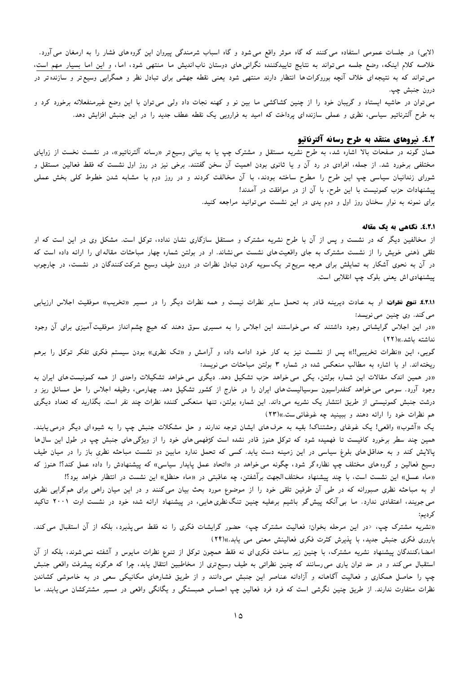(لابی) در جلسات عمومی استفاده می کنند که گاه موثر واقع می شود و گاه اسباب شرمندگی پیروان این گروه های فشار را به ارمغان می آورد. خلاصه کلام اینکه، وضع جلسه میتواند به نتایج تاییدکننده نگرانی۵های دوستان ناباندیش ما منتهی شود، اما، و این اما بسیار مهم است، می تواند که به نتیجهای خلاف آنچه بوروکرات۱ها انتظار دارند منتهی شود یعنی نقطه جهشی برای تبادل نظر و همگرایی وسیعتر و سازنده تر در درون جنبش چپ.

می توان در حاشیه ایستاد و گریبان خود را از چنین کشاکشی ما بین نو و کهنه نجات داد ولی می توان با این وضع غیرمنفعلانه برخورد کرد و به طرح آلترناتیو سیاسی، نظری و عملی سازنده ای پرداخت که امید به فرارویی یک نقطه عطف جدید را در این جنبش افزایش دهد.

# ٤.٢. نيروهاي منتقد به طرح رسانه آلترناتيو

همان گونه در صفحات بالا اشاره شد، به طرح نشریه مستقل و مشترک چپ یا به بیانی وسیع**تر «رسانه آلترناتیو»، در نشست نخست از ز**وایای مختلفی برخورد شد. از جمله، افرادی در رد آن و یا ثانوی بودن اهمیت آن سخن گفتند. برخی نیز در روز اول نشست که فقط فعالین مستقل و شورای زندانیان سیاسی چپ این طرح را مطرح ساخته بودند، با آن مخالفت کردند و در روز دوم با مشابه شدن خطوط کلی بخش عملی پیشنهادات حزب کمونیست با این طرح، با آن از در موافقت در آمدند! برای نمونه به نوارِ سخنان روز اول و دوم یدی در این نشست میتوانید مراجعه کنید.

#### ..... نگاهي به يک مقاله

از مخالفین دیگر که در نشست و پس از آن با طرح نشریه مشترک و مستقل سازگاری نشان نداده، توکل است. مشکل وی در این است که او تلقی ذهنی خویش را از نشست مشترک به جای واقعیتهای نشست می نشاند. او در بولتن شماره چهار مباحثات مقالهای را ارائه داده است که در آن به نحوی آشکار به تمایلش برای هرچه سریع تر یک سویه کردن تبادل نظرات در درون طیف وسیع شرکت کنندگان در نشست، در چارچوب پیشنهادی اش یعنی بلوک چپ انقلابی است.

۴.۱.۱٪. تنوع نظرات: او به عادت دیرینه قادر به تحمل سایر نظرات نیست و همه نظرات دیگر را در مسیر «تخریب» موفقیت اجلاس ارزیابی مي كند. وي چنين مي نويسد:

«در این اجلاس گرایشاتی وجود داشتند که می خواستند این اجلاس را به مسیری سوق دهند که هیچ چشم|نداز موفقیتآمیزی برای آن وجود نداشته باشد.))(۲۲)

گویی، این «نظرات تخریبی!!» پس از نشست نیز به کار خود ادامه داده و آرامش و «تک نظری» بودن سیستم فکری تفکر توکل را برهم ریخته اند. او با اشاره به مطالب منعکس شده در شماره ۳ بولتن مباحثات می نویسد:

«در همین اندک مقالات این شماره بولتن، یکی می خواهد حزب تشکیل دهد. دیگری می خواهد تشکیلات واحدی از همه کمونیست های ایران به وجود آورد. سومی می خواهد کنفدراسیون سوسیالیست های ایران را در خارج از کشور تشکیل دهد. چهارمی، وظیفه اجلاس را حل مسائل ریز و درشت جنبش کمونیستی از طریق انتشار یک نشریه می داند. این شماره بولتن، تنها منعکس کننده نظرات چند نفر است. بگذارید که تعداد دیگری هم نظرات خود را ارائه دهند و ببينيد چه غوغائي ست.))(٢٣)

یک «آشوب» واقعی! یک غوغای وحشتناک! بقیه به حرف های ایشان توجه ندارند و حل مشکلات جنبش چپ را به شیوه ای دیگر درمی یابند. همین چند سطر برخورد کافیست تا فهمیده شود که توکل هنوز قادر نشده است کژفهمی های خود را از ویژگی۵های جنبش چپ در طول این سال۱ها یالایش کند و به حداقل های بلوغ سیاسی در این زمینه دست یابد. کسی که تحمل ندارد مابین دو نشست مباحثه نظری باز را در میان طیف وسیع فعالین و گروههای مختلف چپ نظاره گر شود، چگونه می خواهد در «اتحاد عمل پایدار سیاسی» که پیشنهادش را داده عمل کند؟! هنوز که «ماه عسل» این نشست است، با چند پیشنهاد مختلفالجهت برآشفتن، چه عاقبتی در «ماه حنظل» این نشست در انتظار خواهد بود؟!

او به مباحثه نظری صبورانه که در طی آن طرفین تلقی خود را از موضوع مورد بحث بیان می کنند و در این میان راهی برای هم گرایی نظری می جویند، اعتقادی ندارد. ما بی آنکه پیش گو باشیم برعلیه چنین تنگ نظری هایی، در پیشنهاد ارائه شده خود در نشست اوت ۲۰۰۱ تاکید کر دىيە:

«نشریه مشترک چپ، ‹در این مرحله بخوان: فعالیت مشترک چپ› حضور گرایشات فکری را نه فقط میeپذیرد، بلکه از آن استقبال میکند. باروری فکری جنبش جدید، با پذیرش کثرت فکری فعالینش معنی می یابد.))(۲۴)

امضاءکنندگان پیشنهاد نشریه مشترک، با چنین زیر ساخت فکری ای نه فقط همچون توکل از تنوع نظرات مایوس و آشفته نمی شوند، بلکه از آن استقبال می کند و در حد توان یاری می رسانند که چنین نظراتی به طیف وسیع تری از مخاطبین انتقال یابد، چرا که هرگونه پیشرفت واقعی جنبش چپ را حاصل همکاری و فعالیت آگاهانه و آزادانه عناصر این جنبش می۵دانند و از طریق فشارهای مکانیکی سعی در به خاموشی کشاندن نظرات متفاوت ندارند. از طریق چنین نگرشی است که فرد فرد فعالین چپ احساس همبستگی و یگانگی واقعی در مسیر مشترکشان میbیابند. ما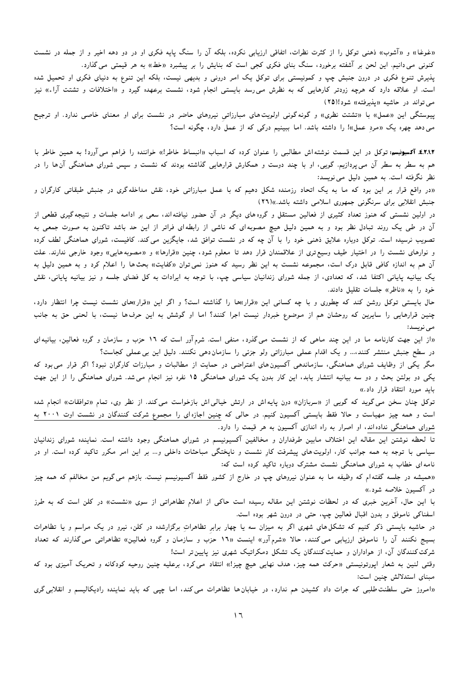«غوغا» و «آشوب» ذهنی توکل را از کثرت نظرات، اتفاقی ارزیابی نکرده، بلکه آن را سنگ پایه فکری او در دو دهه اخیر و از جمله در نشست کنونی می دانیم. این لحن بر آشفته برخورد، سنگ بنای فکری کجی است که بنایش را بر پیشبرد «خط» به هر قیمتی می گذارد.

یذیرش تنوع فکری در درون جنبش چپ و کمونیستی برای توکل یک امر درونی و بدیهی نیست، بلکه این تنوع به دنیای فکری او تحمیل شده است. او علاقه دارد که هرچه زودتر کارهایی که به نظرش می رسد بایستی انجام شود، نشست برعهده گیرد و «اختلافات و تشتت آراء» نیز می تواند در حاشیه «پذیرفته» شود!(۲۵)

ییوستگی این «عمل» با «تشتت نظری» و گونهگونی اولویتهای مبارزاتی نیروهای حاضر در نشست برای او معنای خاصی ندارد. او ترجیح می دهد چهره یک «مرد عمل»! را داشته باشد. اما ببینیم درکی که از عمل دارد، چگونه است؟

٤.٢.١.٢. آکسیونیسم: توکل در این قسمت نوشتهاش مطالبی را عنوان کرده که اسباب «انبساط خاطر!» خواننده را فراهم میآورد! به همین خاطر با هم به سطر به سطر آن می پردازیم. گویی، او با چند دوست و همکارش قرارهایی گذاشته بودند که نشست و سپس شورای هماهنگی آنها را در نظر نگرفته است. به همین دلیل می نویسد:

.<br>«در واقع قرار بر این بود که ما به یک اتحاد رزمنده شکل دهیم که با عمل مبارزاتی خود، نقش مداخله گری در جنبش طبقاتی کارگران و جنبش انقلابی برای سرنگونی جمهوری اسلامی داشته باشد.»(۲٦)

در اولین نشستی که هنوز تعداد کثیری از فعالین مستقل و گروههای دیگر در آن حضور نیافتهاند، سعی بر ادامه جلسات و نتیجه گیری قطعی از آن در طی یک روند تبادل نظر بود و به همین دلیل هیچ مصوبهای که ناشی از رابطهای فراتر از این حد باشد تاکنون به صورت جمعی به تصویب نرسیده است. توکل دوباره علایق ذهنی خود را با آن چه که در نشست توافق شد، جایگزین می کند. کافیست، شورای هماهنگی لطف کرده و نوارهای نشست را در اختیار طیف وسیع تری از علاقمندان قرار دهد تا معلوم شود، چنین «قرارها» و «مصوبه هایی» وجود خارجی ندارند. علت آن هم به اندازه کافی قابل درک است، مجموعه نشست به این نظر رسید که هنوز نمی توان «کفایت» بحثها را اعلام کرد و به همین دلیل به یک بیانیه پایانی اکتفا شد، که تعدادی، از جمله شورای زندانیان سیاسی چپ، با توجه به ایرادات به کل فضای جلسه و نیز بیانیه پایانی، نقش خود را به «ناظر)) جلسات تقلیل دادند.

حال بایستی توکل روشن کند که چطوری و با چه کسانی این «قرار)ها را گذاشته است؟ و اگر این «قرار)های نشست نیست چرا انتظار دارد، چنین قرارهایی را سایرین که روحشان هم از موضوع خبردار نیست اجرا کنند؟ اما او گوشش به این حرفها نیست، با لحنی حق به جانب مى نويسد:

«از این جهت کارنامه ما در این چند ماهی که از نشست می گذرد، منفی است. شرم آور است که ۱۲ حزب و سازمان و گروه فعالین، بیانیه ای در سطح جنبش منتشر کنند،… و یک اقدام عملی مبارزاتی ولو جزئی را سازمان۵دهی نکنند. دلیل این بی عملی کجاست؟

مگر یکی از وظایف شورای هماهنگی، سازماندهی آکسیونهای اعتراضی در حمایت از مطالبات و مبارزات کارگران نبود؟ اگر قرار می بود که یکی دو بولتن بحث و دو سه بیانیه انتشار یابد، این کار بدون یک شورای هماهنگی ۱۵ نفره نیز انجام می شد. شورای هماهنگی را از این جهت بايد مورد انتقاد قرار داد.»

توکل چنان سخن می گوید که گویی از «سربازان» دون پایهاش در ارتش خیالی اش بازخواست می کند. از نظر وی، تمام «توافقات» انجام شده است و همه چیز مهیاست و حالا فقط بایستی آکسیون کنیم. در حالی که چنین اجازهای را مجموع شرکت کنندگان در نشست اوت ۲۰۰۱ به شورای هماهنگی نداده اند، او اصرار به راه اندازی آکسیون به هر قیمت را دارد.

تا لحظه نوشتن این مقاله این اختلاف مابین طرفداران و مخالفین آکسیونیسم در شورای هماهنگی وجود داشته است. نماینده شورای زندانیان سیاسی با توجه به همه جوانب کار، اولویتهای پیشرفت کارِ نشست و ناپختگی مباحثات داخلی و… بر این امر مکرر تاکید کرده است. او در نامه ای خطاب به شورای هماهنگی نشست مشترک دوباره تاکید کرده است که:

«همیشه در جلسه گفته۱م که وظیفه ما به عنوان نیروهای چپ در خارج از کشور فقط آکسیونیسم نیست. بازهم می گویم من مخالفم که همه چیز در آکسیون خلاصه شود.»

با این حال، آخرین خبری که در لحظات نوشتن این مقاله رسیده است حاکی از اعلام تظاهراتی از سوی «نشست» در کلن است که به طرز اسفناکي ناموفق و بدون اقبال فعالين چپ، حتى در درون شهر بوده است.

در حاشیه بایستی ذکر کنیم که تشکلهای شهری اگر به میزان سه یا چهار برابر تظاهراتِ برگزارشده در کلن، نیرو در یک مراسم و یا تظاهرات بسیج نکنند آن را ناموفق ارزیابی می کنند، حالا «شرم آور» اینست «۱۶ حزب و سازمان و گروه فعالین» تظاهراتی می گذارند که تعداد شرکت کنندگان آن، از هواداران و حمایت کنندگان یک تشکل دمکراتیک شهری نیز پایین تر است!

وقتی لنین به شعار اپورتونیستی «حرکت همه چیز، هدف نهایی هیچ چیز!» انتقاد می¢رد، برعلیه چنین روحیه کودکانه و تحریک آمیزی بود که مبنای استدلالش چنین است:

«امروز حتبی سلطنت طلبی که جرات داد کشیدن هم ندارد، در خیابان ها تظاهرات می کند، اما چپی که باید نماینده رادیکالیسم و انقلابی گری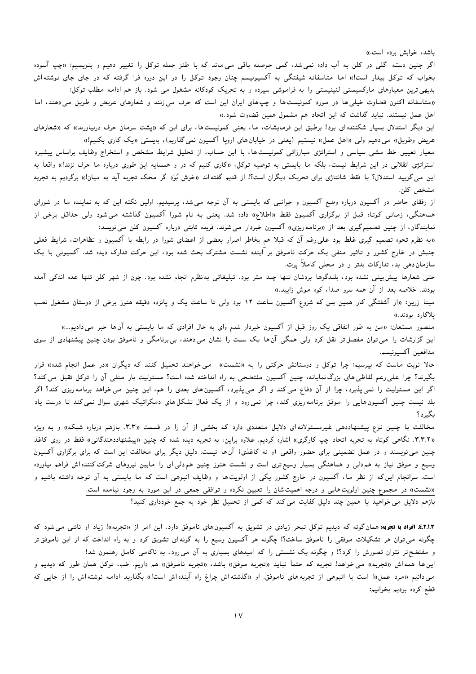باشد، خوابش برده است.»

اگر چنین دسته گلی در کلن به آب داده نمیشد، کمی حوصله باقی می ماند که با طنز جمله توکل را تغییر دهیم و بنویسیم: «چپ آسوده بخواب که توکل بیدار است!» اما متاسفانه شیفتگی به آکسیونیسم چنان وجود توکل را در این دوره فرا گرفته که در جای جای نوشتهاش بدیهی ترین معیارهای مارکسیستی لنینیستی را به فراموشی سپرده و به تحریک کودکانه مشغول می شود. باز هم ادامه مطلب توکل:

«متاسفانه اکنون قضاوت خیلی ها در مورد کمونیستها و چپهای ایران این است که حرف می زنند و شعارهای عریض و طویل می دهند، اما اهل عمل نیستند. نباید گذاشت که این اتحاد هم مشمول همین قضاوت شود.»

این دیگر استدلال بسیار شکننده ای بود! برطبق این فرمایشات، ما، یعنی کمونیستها، برای این که «پشت سرمان حرف درنیاورند» که «شعارهای عریض وطویل» می دهیم ولی «اهل عمل» نیستیم (یعنی در خیابان های اروپا آکسیون نمی گذاریم)، بایستی «یک کاری بکنیم!»

معیار تعیین خط مشی سیاسی و استراتژی مبارزاتی کمونیست ها، با این حساب، از تحلیل شرایط مشخص و استخراج وظایف براساس ییشبرد استراتژی انقلابی در این شرایط نیست، بلکه ما بایستی به توصیه توکل، «کاری کنیم که در و همسایه این طوری درباره ما حرف نزند!» واقعاً به این می گویید استدلال؟ یا فقط شانتاژی برای تحریک دیگران است؟! از قدیم گفتهاند «خوش بُوَد گر محک تجربه آید به میان!» برگردیم به تجربه مشخص کلن.

از رفقای حاضر در آکسیون درباره وضع آکسیون و جوانبی که بایستی به آن توجه میشد، پرسیدیم. اولین نکته این که به نماینده ما در شورای هماهنگی، زمانی کوتاه قبل از برگزاری آکسیون فقط «اطلاع» داده شد. یعنی به نام شورا آکسیون گذاشته می شود ولی حداقل برخی از نمایندگان، از چنین تصمیم گیری بعد از «برنامه ریزی» آکسیون خبردار میشوند. فریده ثابتی درباره آکسیون کلن میbنویسد:

«به نظرم تحوه تصمیم گیری غلط بود علی رغم آن که قبلا هم بخاطر اصرار بعضی از اعضای شورا در رابطه با آکسیون و تظاهرات، شرایط فعلی جنبش در خارج کشور و تاثیر منفی یک حرکت ناموفق بر آینده نشست مشترک بحث شده بود، این حرکت تدارک دیده شد. آکسیونی با یک سازمان دهی بد، تدارکات بدتر و در محلی کاملاً پرت.

حتی شعارها پیش بینی نشده بود، بلندگوها بردشان تنها چند متر بود. تبلیغاتی بهنظرم انجام نشده بود. چون از شهر کلن تنها عده اندکی آمده بودند. خلاصه بعد از آن همه سرو صدا، کوه موش زایید.»

مینا زرین: «از آشفتگی کار همین بس که شروع آکسیون ساعت ۱۲ بود ولی تا ساعت یک و پانزده دقیقه هنوز برخی از دوستان مشغول نصب یلاکارد بودند.»

منصور مستعان: «من به طور اتفاقی یک روز قبل از آکسیون خبردار شدم وای به حال افرادی که ما بایستی به آنها خبر می۵دادیم…» این گزارشات را می توان مفصل تر نقل کرد ولی همگی آن۱ها یک سمت را نشان می۵دهند، بیبرنامگی و ناموفق بودن چنین پیشنهادی از سوی مدافعين آكسيونيسم.

حالا نوبت ماست که بپرسیم: چرا توکل و دوستانش حرکتی را به «نشست» می خواهند تحمیل کنند که دیگران «در عمل انجام شده» قرار بگیرند؟ چرا علی رغم لفاظی های بزرگ نمایانه، چنین آکسیون مفتضحی به راه انداخته شده است؟ مسئولیت بار منفی آن را توکل تقبل می کند؟ اگر این مسئولیت را نمی پذیرد، چرا از آن دفاع می کند و اگر می پذیرد، آکسیونهای بعدی را هم، این چنین می خواهد برنامه ریزی کند؟ اگر بلد نیست چنین آکسیون هایی را موفق برنامه٫یزی کند، چرا نمی٫ود و از یک فعال تشکل۵عای دمکراتیک شهری سوال نمیکند تا درست یاد بگیرد؟

مخالفت با چنین نوع پیشنهاددهی غیرمسئولانه ای دلایل متعددی دارد که بخشی از آن را در قسمت «۳.۳. بازهم درباره شبکه» و به ویژه «۳.۳.۲. نگاهی کوتاه به تجربه اتحاد چپ کارگری» اشاره کردیم. علاوه براین، به تجربه دیده شده که چنین «پیشنهاددهندگانی» فقط در روی کاغذ چنین می نویسند و در عمل تضمینی برای حضور واقعی (و نه کاغذی) آنها نیست. دلیل دیگر برای مخالفت این است که برای برگزاری آکسیون وسیع و موفق نیاز به هم دلی و هماهنگی بسیار وسیع تری است و نشست هنوز چنین هم دلی ای را مابین نیروهای شرکت کننده اش فراهم نیاورده است. سرانجام این که از نظر ما، آکسیون در خارج کشور یکی از اولویت ها و وظایف انبوهی است که ما بایستی به آن توجه داشته باشیم و «نشست» در مجموع چنین اولویتهایی و درجه اهمیتشان را تعیین نکرده و توافقی جمعی در این مورد به وجود نیامده است. بازهم دلایل می خواهید یا همین چند دلیل کفایت می کند که کمی از تحمیل نظر خود به جمع خودداری کنید؟

8.۲.۱.۳. افراد با تجربه: همان گونه که دیدیم توکل تبحر زیادی در تشویق به آکسیون های ناموفق دارد. این امر از «تجربه»! زیاد او ناشی می شود که چگونه میتوان هر تشکیلات موفقی را ناموفق ساخت؟! چگونه هر آکسیون وسیع را به گونهای تشویق کرد و به راه انداخت که از این ناموفق تر و مفتضح تر نتوان تصورش را کرد؟! و چگونه یک نشستی را که امیدهای بسیاری به آن می رود، به ناکامی کامل رهنمون شد! این ها همه اش «تجربه» می خواهد! تجربه که حتماً نباید «تجربه موفق» باشد، «تجربه ناموفق» هم داریم. خب، توکل همان طور که دیدیم و

می دانیم «مرد عمل»! است با انبوهی از تجربههای ناموفق. او «گذشتهاش چراغ راه آیندهاش است!» بگذارید ادامه نوشتهاش را از جایی که قطع كرده بوديم بخوانيم: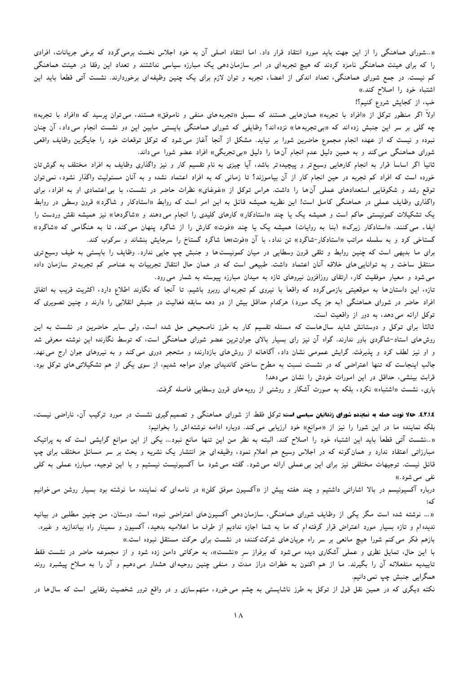«..شورای هماهنگی را از این جهت باید مورد انتقاد قرار داد. اما انتقاد اصلی آن به خود اجلاس نخست برمی گردد که برخی جریانات، افرادی را که برای هیئت هماهنگی نامزد کردند که هیچ تجربهای در امر سازمان،هی یک مبارزه سیاسی نداشتند و تعداد این رفقا در هیئت هماهنگی کم نیست. در جمع شورای هماهنگی، تعداد اندکی از اعضاء تجربه و توان لازم برای یک چنین وظیفهای برخوردارند. نشست آتی قطعاً باید این اشتباه خود را اصلاح کند.»

خب، از كجايش شروع كنيم؟!

اولاً اگر منظور توکل از «افراد با تجربه» همانهایی هستند که سمبل «تجربههای منفی و ناموفق» هستند، می توان پرسید که «افراد با تجربه» چه گلی بر سر این جنبش زده اند که «بی تجربهها» نزده اند؟ وظایفی که شورای هماهنگی بایستی مابین این دو نشست انجام میداد، آن چنان نبوده و نیست که از عهده انجام مجموع حاضرین شورا بر نیاید. مشکل از آنجا آغاز می شود که توکل توقعات خود را جایگزین وظایف واقعی شورای هماهنگی می کند و به همین دلیل عدم انجام آنها را دلیل «بیتجربگی» افراد عضو شورا می داند.

ثانیاً اگر اساساً قرار به انجام کارهایی وسیع¤تر و پیچیدهتر باشد، آیا چیزی به نام تقسیم کار و نیز واگذاری وظایف به افراد مختلف به گوش¤نان خورده است که افراد کم تجربه در حین انجام کار از آن بیاموزند؟ تا زمانی که به افراد اعتماد نشده و به آنان مسئولیت واگذار نشود، نمی توان توقع رشد و شکوفایی استعدادهای عملی آنها را داشت. هراس توکل از «غوغای» نظرات حاضر در نشست، با بی اعتمادی او به افراد، برای واگذاری وظایف عملی در هماهنگی کامل است! این نظریه همیشه قائل به این امر است که روابط «استادکار و شاگرد» قرون وسطی در روابط یک تشکیلات کمونیستی حاکم است و همیشه یک یا چند «استادکار» کارهای کلیدی را انجام می دهند و «شاگردها» نیز همیشه نقش وردست را ایفاء می کنند. «استادکار زیرک» (بنا به روایات) همیشه یک یا چند «فوت» کارش را از شاگرد پنهان می کند، تا به هنگامی که «شاگرد» گستاخی کرد و به سلسله مراتب «استادکار-شاگرد» تن نداد، با آن «فوت»ها شاگرد گستاخ را سرجایش بنشاند و سرکوب کند.

برای ما بدیهی است که چنین روابط و تلقی قرون وسطایی در میان کمونیست ها و جنبش چپ جایی ندارد. وظایف را بایستی به طیف وسیع تری منتقل ساخت و به توانایی های خلاقه آنان اعتماد داشت. طبیعی است که در همان حال انتقال تجربیات به عناصر کم تجربهتر سازمان داده می شود و معیار موفقیت کار، ارتقای روزافزون نیروهای تازه به میدان مبارزه پیوسته به شمار می رود.

تازه، این داستان ها به موقعیتی بازمی گردد که واقعاً با نیروی کم تجربهای روبرو باشیم. تا آنجا که نگارند اطلاع دارد، اکثریت قریب به اتفاق افراد حاضر در شورای هماهنگی (به جز یک مورد) هرکدام حداقل بیش از دو دهه سابقه فعالیت در جنبش انقلابی را دارند و چنین تصویری که توکل ارائه می دهد، به دور از واقعیت است.

ثالثاً برای توکل و دوستانش شاید سالهاست که مسئله تقسیم کار به طرز ناصحیحی حل شده است، ولی سایر حاضرین در نشست به این روش های استاد-شاگردی باور ندارند. گواه آن نیز رای بسیار بالای جوان ترین عضو شورای هماهنگی است، که توسط نگارنده این نوشته معرفی شد و او نیز لطف کرد و پذیرفت. گرایش عمومی نشان داد، آگاهانه از روشهای بازدارنده و متحجر دوری می کند و به نیروهای جوان ارج می نهد. جالب اینجاست که تنها اعتراضی که در نشست نسبت به مطرح ساختن کاندیدای جوان مواجه شدیم، از سوی یکی از هم تشکیلاتیهای توکل بود. قرابت بینشی، حداقل در این امورات خودش را نشان می دهد!

باری، نشست «اشتباه» نکرد، بلکه به صورت آشکار و روشنبی از رویه های قرون وسطایبی فاصله گرفت.

8.۲.۱.٤. حالا نوبت حمله به نماینده شورای زندانیان سیاسی است: توکل فقط از شورای هماهنگی و تصمیم گیری نشست در مورد ترکیب آن، ناراضی نیست، بلکه نماینده ما در این شورا را نیز از «موانع» خود ارزیابی می کند. دوباره ادامه نوشته اش را بخوانیم:

«…نشست آتی قطعاً باید این اشتباه خود را اصلاح کند. البته به نظر من این تنها مانع نبود… یکی از این موانع گرایشی است که به پراتیک مبارزاتی اعتقاد ندارد و همان گونه که در اجلاس وسیع هم اعلام نمود، وظیفهای جز انتشار یک نشریه و بحث بر سر مسائل مختلف برای چپ قائل نیست. توجیهات مختلفی نیز برای این بیءملی ارائه میشود. گفته میشود ما آکسیونیست نیستیم و با این توجیه، مبارزه عملی به کلی نفي مي شود.»

درباره آکسیونیسم در بالا اشاراتی داشتیم و چند هفته پیش از «آکسیون موفق کلن» در نامهای که نماینده ما نوشته بود بسیار روشن می خوانیم  $: A \subset$ 

«… نوشته شده است مگر یکی از وظایف شورای هماهنگی، سازماندهی آکسیونهای اعتراضی نبوده است. دوستان، من چنین مطلبی در بیانیه ندیده ام و تازه بسیار مورد اعتراض قرار گرفته۱م که ما به شما اجازه ندادیم از طرف ما اعلامیه بدهید، آکسیون و سمینار راه بیاندازید و غیره. بازهم فکر می کنم شورا هیچ مانعی بر سر راه جریان های شرکت کننده در نشست برای حرکت مستقل نبوده است.»

با این حال، تمایل نظری و عملی آشکاری دیده می شود که برفراز سر «نشست»، به حرکاتی دامن زده شود و از مجموعه حاضر در نشست فقط تاییدیه منفعلانه آن را بگیرند. ما از هم اکنون به خطرات دراز مدت و منفی چنین روحیهای هشدار می دهیم و آن را به صلاح پیشبرد روند همگرایی جنبش چپ نمی دانیم.

نکته دیگری که در همین نقل قول از توکل به طرز ناشایستی به چشم می خورد، متهمسازی و در واقع ترور شخصیت رفقایی است که سال۵ا در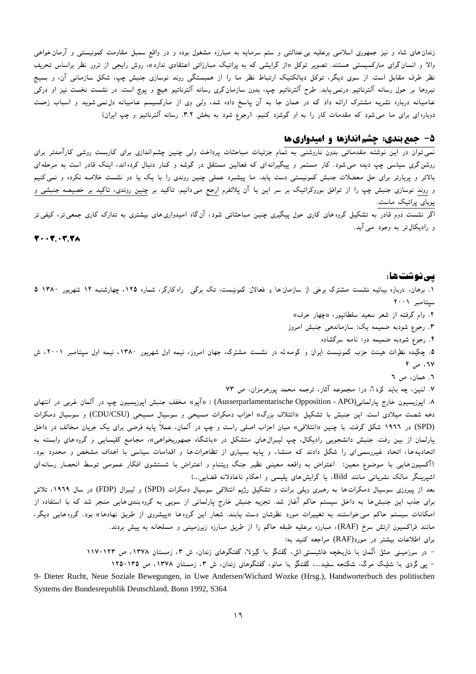زندان های شاه و نیز جمهوری اسلامی برعلیه بی عدالتی و ستم سرمایه به مبارزه مشغول بوده و در واقع سمبل مقاومت کمونیستی و آرمان خواهی والا و انسان گرای مارکسیستی هستند. تصویر توکل «از گرایشی که به پراتیک مبارزاتی اعتقادی ندارد»، روش رایجی از ترور نظر براساس تحریف نظر طرف مقابل است. از سوی دیگر، توکل دیالکتیک ارتباط نظر ما را از همبستگی روند نوسازی جنبش چی، شکل سازمانی آن، و بسیج نیروها بر حول رسانه آلترناتیو درنمیLیابد. طرح آلترناتیو چپ، بدون سازمانگری رسانه آلترناتیو هیچ و پوچ است. در نشست نخست نیز او درکی عامیانه درباره نشریه مشترک ارائه داد که در همان جا به آن پاسخ داده شد، ولی وی از مارکسیسم عامیانه دل،نمیشوید و اسباب زحمت دوباره ای برای ما می شود که مقدمات کار را به او گوشزد کنیم. (رجوع شود به بخش ۳.۲. رسانه آلترناتیو و چپ ایران)

# ۵- جمع بندی: چشم اندازها و امیدواریها

.<br>نمی توان در این نوشته مقدماتی بدون ناروشنی به تمام جزئیات مباحثات پرداخت ولی چنین چشم|ندازی برای کاربست روشی کارآمدتر برای روشن گری سیاسی چپ دیده می شود. کار مستمر و پیگیرانه ای که فعالین مستقل در گوشه و کنار دنبال کرده اند، اینک قادر است به مرحله ای بالاتر و پربارتر برای حل معضلات جنبش کمونیستی دست یابد. ما پیشبرد عملی چنین روندی را با یک یا دو نشست خلاصه نکرده و نمی کنیم و روند نوسازی جنبش چپ را از توافق بوروکراتیک بر سر این یا آن پلاتفرم ارجح می۵دانیم. تاکید بر چنین روندی، تاکید بر خصیصه جنبشی و پویای پراتیک ماست.

اگر نشست دوم قادر به تشکیل گروههای کاری حول ییگیری چنین مباحثاتی شود، آنگاه امیدواریهای بیشتری به تدارک کاری جمعیتر، کیفیتر و رادیکال تر به وجود می آید.

 $F \cdot \cdot F \cdot T.$ 

### ىپى نوشت ھا :

۱. برهان، درباره بیانیه نشست مشترک برخی از سازمان ها و فعالان کمونیست، تک برگی راه کارگر، شماره ۱۲۵، چهارشنبه ۱۴ شهریور ۱۳۸۰ ۵ سيتامبر ٢٠٠١ ۲. وام گرفته از شعر سعید سلطانپور، «چهار حرف»

- ۳. رجوع شودبه ضمیمه یک: سازماندهی جنبش امروز
	- ۴. رجوع شودبه ضمیمه دو: نامه سرگشاده

۵. چکیده نظرات هیئت حزب کمونیست ایران و کومه له در نشست مشترک، جهان امروز، نیمه اول شهریور ۱۳۸۰، نیمه اول سیتامبر ۲۰۰۱، ش ٦٧، ص ۴

# ٦. همان، ص ٦

۷. لنین، چه باید کرد؟، در: مجموعه آثار، ترجمه محمد یورهرمزان، ص ۷۳

۸. اپوزیسیون خارج پارلمانی(Ausserparlamentarische Opposition - APO) : «آپو» مخفف جنبش اپوزیسیون چپ در آلمان غربی در انتهای دهه شصت میلادی است. این جنبش با تشکیل «ائتلاف بزرگ» احزاب دمکرات مسیحی و سوسیال مسیحی (CDU/CSU) و سوسیال دمکرات (SPD) در ۱۹۶۲ شکل گرفت. با چنین «ائتلافی» میان احزاب اصلی راست و چپ در آلمان، عملاً پایه فرضی برای یک جریان مخالف در داخل پارلمان از بین رفت. جنبش دانشجویی رادیکال، چپ لیبرال۱های متشکل در «باشگاه جمهوریخواهی»، مجامع کلیسایی و گروههای وابسته به اتحادیهها، اتحاد غیررسمی ای را شکل دادند که منشاء و پایه بسیاری از تظاهراتها و اقدامات سیاسی با اهداف مشخص و محدود بود. (آکسیون هایی با موضوع معین: اعتراض به واقعه معینی نظیر جنگ ویتنام و اعتراض با شستشوی افکار عمومی توسط انحصار رسانهای اشیرینگر مالک نشریاتی مانند Bild، یا گرایش های پلیسی و احکام ناعادلانه قضایی...)

بعد از پیروزی سوسیال دمکرات ها به رهبری ویلی برانت و تشکیل رژیم ائتلافی سوسیال دمکرات (SPD) و لیبرال (FDP) در سال ۱۹۶۹، تلاش برای جذب این جنبش ها به داخل سیستم حاکم آغاز شد. تجزیه جنبش خارج پارلمانی از سویی به گروه بندی هایی منجر شد که با استفاده از امکانات سیستم حاکم می خواستند به تغییرات مورد نظرشان دست یابند. شعار این گروهها «پیشروی از طریق نهادها» بود. گروههایی دیگر، مانند فراکسیون ارتش سرخ (RAF)، مبارزه برعلیه طبقه حاکم را از طریق مبارزه زیرزمینی و مسلحانه به پیش بردند. برای اطلاعات بیشتر در مورد(RAF) مراجعه کنید به:

> - در سرزمینی مثل آلمان با تاریخچه فاشیستی اش، گفتگو با گیزلا، گفتگوهای زندان، ش ۳، زمستان ۱۳۷۸، ص ۱۲۳–۱۱۷ - یبی گردی با شلیک مرگ، شکنجه سفید…، گفتگو با مانو، گفتگوهای زندان، ش ۳، زمستان ۱۳۷۸، ص ۱۳۵-۱۲۵

9- Dieter Rucht, Neue Soziale Bewegungen, in Uwe Andersen/Wichard Wozke (Hrsg.), Handworterbuch des politischen Systems der Bundesrepublik Deutschland, Bonn 1992, S364